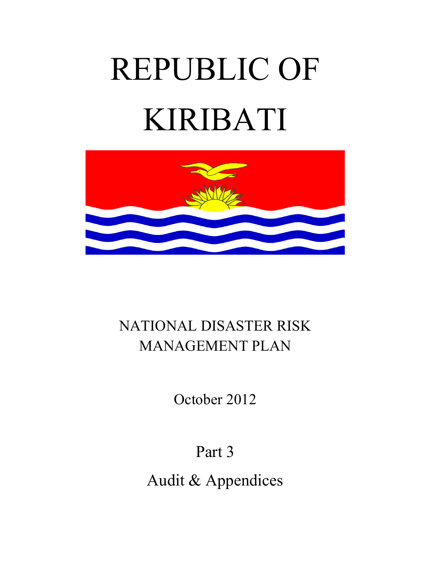# REPUBLIC OF KIRIBATI



# NATIONAL DISASTER RISK MANAGEMENT PLAN

October 2012

Part 3

Audit & Appendices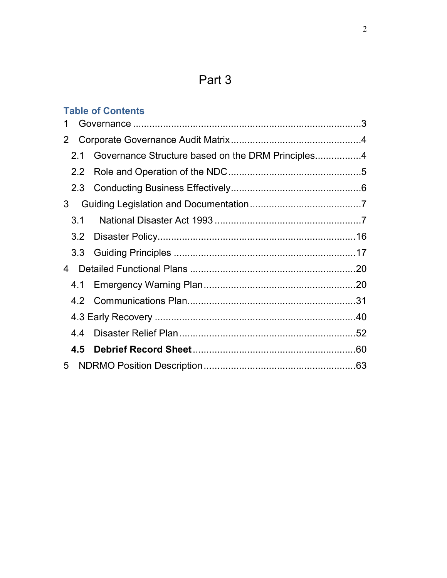# Part 3

|                  | <b>Table of Contents</b> |  |
|------------------|--------------------------|--|
|                  |                          |  |
| 2                |                          |  |
| 2.1              |                          |  |
| $2.2^{\circ}$    |                          |  |
|                  |                          |  |
| 3                |                          |  |
| 3.1              |                          |  |
| 3.2              |                          |  |
| 3.3 <sub>1</sub> |                          |  |
| 4                |                          |  |
| 4.1              |                          |  |
| 4.2              |                          |  |
|                  |                          |  |
| 4.4              |                          |  |
| 4.5              |                          |  |
| 5                |                          |  |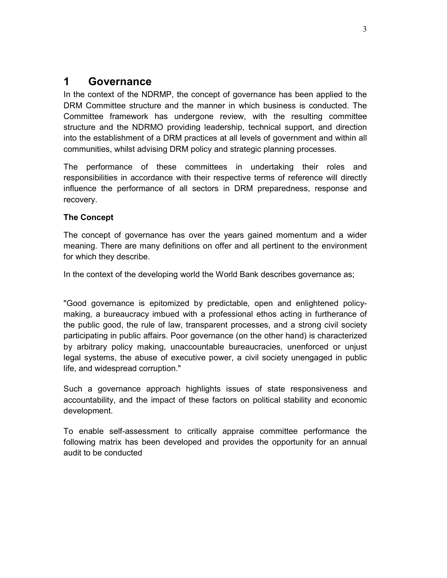## **1 Governance**

In the context of the NDRMP, the concept of governance has been applied to the DRM Committee structure and the manner in which business is conducted. The Committee framework has undergone review, with the resulting committee structure and the NDRMO providing leadership, technical support, and direction into the establishment of a DRM practices at all levels of government and within all communities, whilst advising DRM policy and strategic planning processes.

The performance of these committees in undertaking their roles and responsibilities in accordance with their respective terms of reference will directly influence the performance of all sectors in DRM preparedness, response and recovery.

## **The Concept**

The concept of governance has over the years gained momentum and a wider meaning. There are many definitions on offer and all pertinent to the environment for which they describe.

In the context of the developing world the World Bank describes governance as;

"Good governance is epitomized by predictable, open and enlightened policymaking, a bureaucracy imbued with a professional ethos acting in furtherance of the public good, the rule of law, transparent processes, and a strong civil society participating in public affairs. Poor governance (on the other hand) is characterized by arbitrary policy making, unaccountable bureaucracies, unenforced or unjust legal systems, the abuse of executive power, a civil society unengaged in public life, and widespread corruption."

Such a governance approach highlights issues of state responsiveness and accountability, and the impact of these factors on political stability and economic development.

To enable self-assessment to critically appraise committee performance the following matrix has been developed and provides the opportunity for an annual audit to be conducted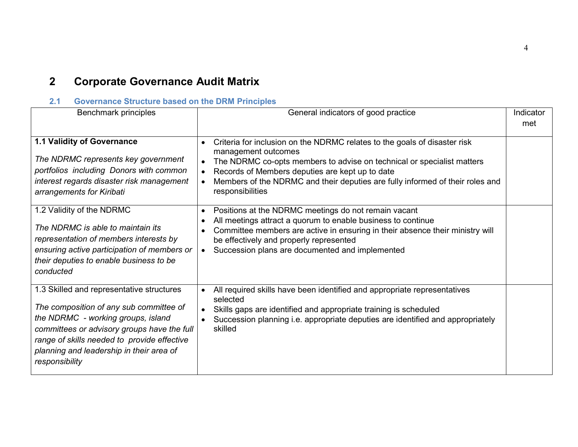# **2 Corporate Governance Audit Matrix**

## **2.1 Governance Structure based on the DRM Principles**

| Benchmark principles                                                                                                                                                                                                                                                                   | General indicators of good practice                                                                                                                                                                                                                                                                                                             | Indicator<br>met |
|----------------------------------------------------------------------------------------------------------------------------------------------------------------------------------------------------------------------------------------------------------------------------------------|-------------------------------------------------------------------------------------------------------------------------------------------------------------------------------------------------------------------------------------------------------------------------------------------------------------------------------------------------|------------------|
| 1.1 Validity of Governance<br>The NDRMC represents key government<br>portfolios including Donors with common<br>interest regards disaster risk management<br>arrangements for Kiribati                                                                                                 | Criteria for inclusion on the NDRMC relates to the goals of disaster risk<br>management outcomes<br>The NDRMC co-opts members to advise on technical or specialist matters<br>$\bullet$<br>Records of Members deputies are kept up to date<br>Members of the NDRMC and their deputies are fully informed of their roles and<br>responsibilities |                  |
| 1.2 Validity of the NDRMC<br>The NDRMC is able to maintain its<br>representation of members interests by<br>ensuring active participation of members or<br>their deputies to enable business to be<br>conducted                                                                        | Positions at the NDRMC meetings do not remain vacant<br>$\bullet$<br>All meetings attract a quorum to enable business to continue<br>Committee members are active in ensuring in their absence their ministry will<br>be effectively and properly represented<br>Succession plans are documented and implemented<br>$\bullet$                   |                  |
| 1.3 Skilled and representative structures<br>The composition of any sub committee of<br>the NDRMC - working groups, island<br>committees or advisory groups have the full<br>range of skills needed to provide effective<br>planning and leadership in their area of<br>responsibility | All required skills have been identified and appropriate representatives<br>$\bullet$<br>selected<br>Skills gaps are identified and appropriate training is scheduled<br>Succession planning i.e. appropriate deputies are identified and appropriately<br>skilled                                                                              |                  |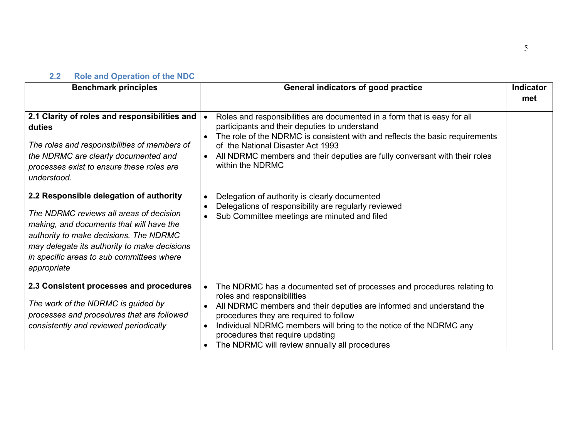## **2.2 Role and Operation of the NDC**

| <b>Benchmark principles</b>                                                                                                                                                                                                                                                          | General indicators of good practice                                                                                                                                                                                                                                                                                                                                                            | Indicator<br>met |
|--------------------------------------------------------------------------------------------------------------------------------------------------------------------------------------------------------------------------------------------------------------------------------------|------------------------------------------------------------------------------------------------------------------------------------------------------------------------------------------------------------------------------------------------------------------------------------------------------------------------------------------------------------------------------------------------|------------------|
| 2.1 Clarity of roles and responsibilities and<br>duties<br>The roles and responsibilities of members of<br>the NDRMC are clearly documented and<br>processes exist to ensure these roles are<br>understood.                                                                          | Roles and responsibilities are documented in a form that is easy for all<br>participants and their deputies to understand<br>The role of the NDRMC is consistent with and reflects the basic requirements<br>of the National Disaster Act 1993<br>All NDRMC members and their deputies are fully conversant with their roles<br>within the NDRMC                                               |                  |
| 2.2 Responsible delegation of authority<br>The NDRMC reviews all areas of decision<br>making, and documents that will have the<br>authority to make decisions. The NDRMC<br>may delegate its authority to make decisions<br>in specific areas to sub committees where<br>appropriate | Delegation of authority is clearly documented<br>Delegations of responsibility are regularly reviewed<br>Sub Committee meetings are minuted and filed                                                                                                                                                                                                                                          |                  |
| 2.3 Consistent processes and procedures<br>The work of the NDRMC is guided by<br>processes and procedures that are followed<br>consistently and reviewed periodically                                                                                                                | The NDRMC has a documented set of processes and procedures relating to<br>roles and responsibilities<br>All NDRMC members and their deputies are informed and understand the<br>$\bullet$<br>procedures they are required to follow<br>Individual NDRMC members will bring to the notice of the NDRMC any<br>procedures that require updating<br>The NDRMC will review annually all procedures |                  |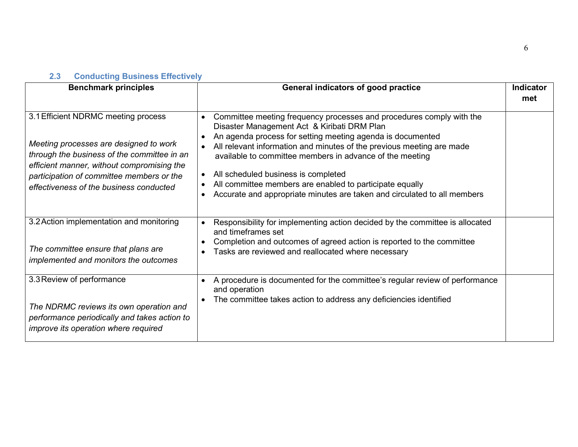## **2.3 Conducting Business Effectively**

| <b>Benchmark principles</b>                                                                                                                                                                                                                                        | General indicators of good practice                                                                                                                                                                                                                                                                                                                                                                                                                                                                   | Indicator<br>met |
|--------------------------------------------------------------------------------------------------------------------------------------------------------------------------------------------------------------------------------------------------------------------|-------------------------------------------------------------------------------------------------------------------------------------------------------------------------------------------------------------------------------------------------------------------------------------------------------------------------------------------------------------------------------------------------------------------------------------------------------------------------------------------------------|------------------|
| 3.1 Efficient NDRMC meeting process<br>Meeting processes are designed to work<br>through the business of the committee in an<br>efficient manner, without compromising the<br>participation of committee members or the<br>effectiveness of the business conducted | Committee meeting frequency processes and procedures comply with the<br>Disaster Management Act & Kiribati DRM Plan<br>An agenda process for setting meeting agenda is documented<br>All relevant information and minutes of the previous meeting are made<br>available to committee members in advance of the meeting<br>All scheduled business is completed<br>All committee members are enabled to participate equally<br>Accurate and appropriate minutes are taken and circulated to all members |                  |
| 3.2 Action implementation and monitoring<br>The committee ensure that plans are<br>implemented and monitors the outcomes                                                                                                                                           | Responsibility for implementing action decided by the committee is allocated<br>and timeframes set<br>Completion and outcomes of agreed action is reported to the committee<br>Tasks are reviewed and reallocated where necessary                                                                                                                                                                                                                                                                     |                  |
| 3.3 Review of performance<br>The NDRMC reviews its own operation and<br>performance periodically and takes action to<br>improve its operation where required                                                                                                       | A procedure is documented for the committee's regular review of performance<br>and operation<br>The committee takes action to address any deficiencies identified                                                                                                                                                                                                                                                                                                                                     |                  |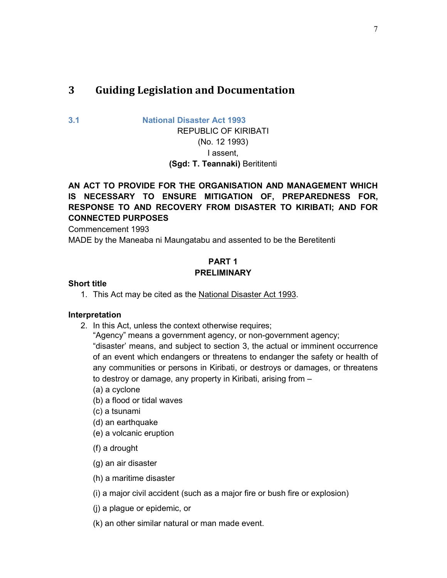## **3 Guiding Legislation and Documentation**

**3.1 National Disaster Act 1993**

REPUBLIC OF KIRIBATI (No. 12 1993) I assent, **(Sgd: T. Teannaki)** Berititenti

## **AN ACT TO PROVIDE FOR THE ORGANISATION AND MANAGEMENT WHICH IS NECESSARY TO ENSURE MITIGATION OF, PREPAREDNESS FOR, RESPONSE TO AND RECOVERY FROM DISASTER TO KIRIBATI; AND FOR CONNECTED PURPOSES**

Commencement 1993

MADE by the Maneaba ni Maungatabu and assented to be the Beretitenti

## **PART 1 PRELIMINARY**

## **Short title**

1. This Act may be cited as the National Disaster Act 1993.

#### **Interpretation**

2. In this Act, unless the context otherwise requires;

"Agency" means a government agency, or non-government agency; "disaster' means, and subject to section 3, the actual or imminent occurrence of an event which endangers or threatens to endanger the safety or health of any communities or persons in Kiribati, or destroys or damages, or threatens to destroy or damage, any property in Kiribati, arising from –

- (a) a cyclone
- (b) a flood or tidal waves
- (c) a tsunami
- (d) an earthquake
- (e) a volcanic eruption
- (f) a drought
- (g) an air disaster
- (h) a maritime disaster
- (i) a major civil accident (such as a major fire or bush fire or explosion)
- (j) a plague or epidemic, or
- (k) an other similar natural or man made event.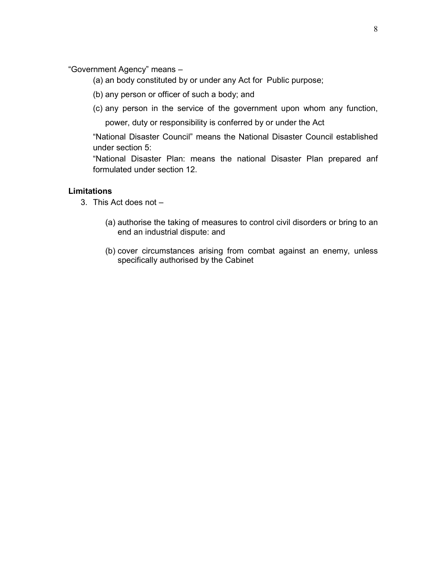"Government Agency" means –

- (a) an body constituted by or under any Act for Public purpose;
- (b) any person or officer of such a body; and
- (c) any person in the service of the government upon whom any function, power, duty or responsibility is conferred by or under the Act

"National Disaster Council" means the National Disaster Council established under section 5:

"National Disaster Plan: means the national Disaster Plan prepared anf formulated under section 12.

#### **Limitations**

- 3. This Act does not
	- (a) authorise the taking of measures to control civil disorders or bring to an end an industrial dispute: and
	- (b) cover circumstances arising from combat against an enemy, unless specifically authorised by the Cabinet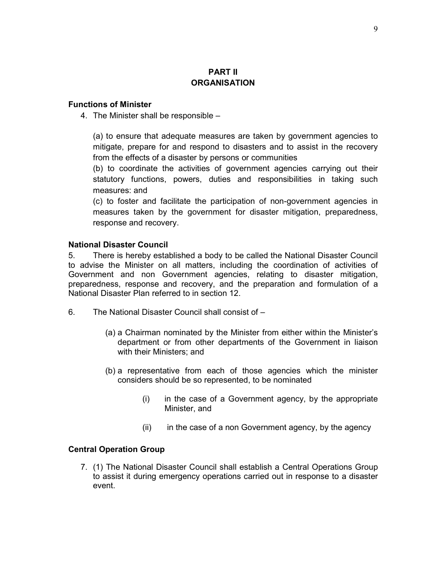## **PART II ORGANISATION**

## **Functions of Minister**

4. The Minister shall be responsible –

(a) to ensure that adequate measures are taken by government agencies to mitigate, prepare for and respond to disasters and to assist in the recovery from the effects of a disaster by persons or communities

(b) to coordinate the activities of government agencies carrying out their statutory functions, powers, duties and responsibilities in taking such measures: and

(c) to foster and facilitate the participation of non-government agencies in measures taken by the government for disaster mitigation, preparedness, response and recovery.

#### **National Disaster Council**

5. There is hereby established a body to be called the National Disaster Council to advise the Minister on all matters, including the coordination of activities of Government and non Government agencies, relating to disaster mitigation, preparedness, response and recovery, and the preparation and formulation of a National Disaster Plan referred to in section 12.

- 6. The National Disaster Council shall consist of
	- (a) a Chairman nominated by the Minister from either within the Minister's department or from other departments of the Government in liaison with their Ministers; and
	- (b) a representative from each of those agencies which the minister considers should be so represented, to be nominated
		- (i) in the case of a Government agency, by the appropriate Minister, and
		- (ii) in the case of a non Government agency, by the agency

#### **Central Operation Group**

7. (1) The National Disaster Council shall establish a Central Operations Group to assist it during emergency operations carried out in response to a disaster event.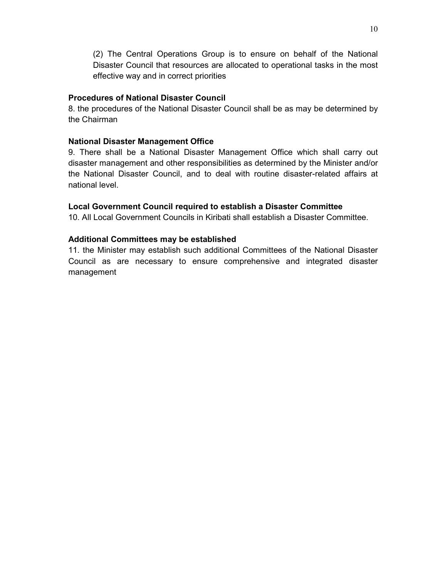(2) The Central Operations Group is to ensure on behalf of the National Disaster Council that resources are allocated to operational tasks in the most effective way and in correct priorities

## **Procedures of National Disaster Council**

8. the procedures of the National Disaster Council shall be as may be determined by the Chairman

## **National Disaster Management Office**

9. There shall be a National Disaster Management Office which shall carry out disaster management and other responsibilities as determined by the Minister and/or the National Disaster Council, and to deal with routine disaster-related affairs at national level.

## **Local Government Council required to establish a Disaster Committee**

10. All Local Government Councils in Kiribati shall establish a Disaster Committee.

## **Additional Committees may be established**

11. the Minister may establish such additional Committees of the National Disaster Council as are necessary to ensure comprehensive and integrated disaster management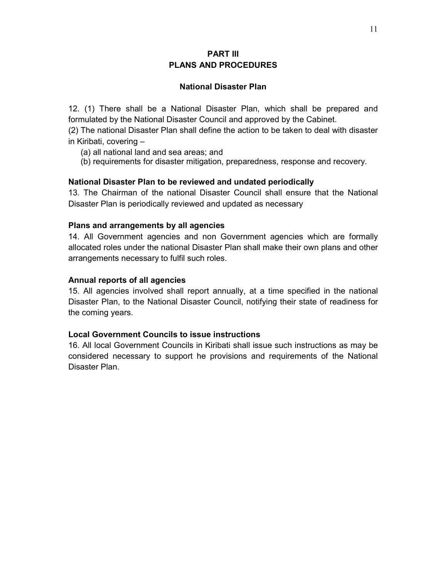## **PART III PLANS AND PROCEDURES**

#### **National Disaster Plan**

12. (1) There shall be a National Disaster Plan, which shall be prepared and formulated by the National Disaster Council and approved by the Cabinet.

(2) The national Disaster Plan shall define the action to be taken to deal with disaster in Kiribati, covering –

- (a) all national land and sea areas; and
- (b) requirements for disaster mitigation, preparedness, response and recovery.

#### **National Disaster Plan to be reviewed and undated periodically**

13. The Chairman of the national Disaster Council shall ensure that the National Disaster Plan is periodically reviewed and updated as necessary

#### **Plans and arrangements by all agencies**

14. All Government agencies and non Government agencies which are formally allocated roles under the national Disaster Plan shall make their own plans and other arrangements necessary to fulfil such roles.

#### **Annual reports of all agencies**

15. All agencies involved shall report annually, at a time specified in the national Disaster Plan, to the National Disaster Council, notifying their state of readiness for the coming years.

#### **Local Government Councils to issue instructions**

16. All local Government Councils in Kiribati shall issue such instructions as may be considered necessary to support he provisions and requirements of the National Disaster Plan.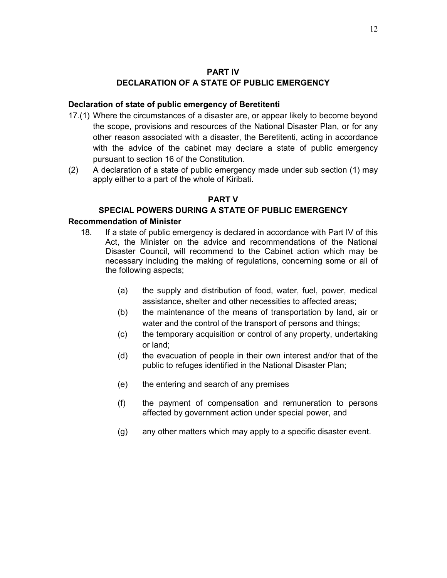#### **PART IV**

## **DECLARATION OF A STATE OF PUBLIC EMERGENCY**

#### **Declaration of state of public emergency of Beretitenti**

- 17.(1) Where the circumstances of a disaster are, or appear likely to become beyond the scope, provisions and resources of the National Disaster Plan, or for any other reason associated with a disaster, the Beretitenti, acting in accordance with the advice of the cabinet may declare a state of public emergency pursuant to section 16 of the Constitution.
- (2) A declaration of a state of public emergency made under sub section (1) may apply either to a part of the whole of Kiribati.

## **PART V**

## **SPECIAL POWERS DURING A STATE OF PUBLIC EMERGENCY**

#### **Recommendation of Minister**

- 18. If a state of public emergency is declared in accordance with Part IV of this Act, the Minister on the advice and recommendations of the National Disaster Council, will recommend to the Cabinet action which may be necessary including the making of regulations, concerning some or all of the following aspects;
	- (a) the supply and distribution of food, water, fuel, power, medical assistance, shelter and other necessities to affected areas;
	- (b) the maintenance of the means of transportation by land, air or water and the control of the transport of persons and things;
	- (c) the temporary acquisition or control of any property, undertaking or land;
	- (d) the evacuation of people in their own interest and/or that of the public to refuges identified in the National Disaster Plan;
	- (e) the entering and search of any premises
	- (f) the payment of compensation and remuneration to persons affected by government action under special power, and
	- (g) any other matters which may apply to a specific disaster event.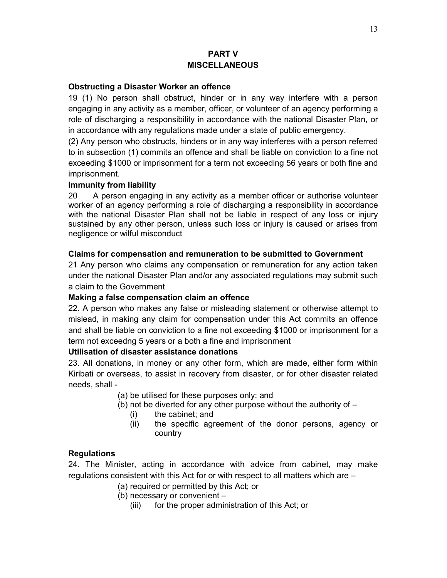## **PART V MISCELLANEOUS**

#### **Obstructing a Disaster Worker an offence**

19 (1) No person shall obstruct, hinder or in any way interfere with a person engaging in any activity as a member, officer, or volunteer of an agency performing a role of discharging a responsibility in accordance with the national Disaster Plan, or in accordance with any regulations made under a state of public emergency.

(2) Any person who obstructs, hinders or in any way interferes with a person referred to in subsection (1) commits an offence and shall be liable on conviction to a fine not exceeding \$1000 or imprisonment for a term not exceeding 56 years or both fine and imprisonment.

#### **Immunity from liability**

20 A person engaging in any activity as a member officer or authorise volunteer worker of an agency performing a role of discharging a responsibility in accordance with the national Disaster Plan shall not be liable in respect of any loss or injury sustained by any other person, unless such loss or injury is caused or arises from negligence or wilful misconduct

#### **Claims for compensation and remuneration to be submitted to Government**

21 Any person who claims any compensation or remuneration for any action taken under the national Disaster Plan and/or any associated regulations may submit such a claim to the Government

#### **Making a false compensation claim an offence**

22. A person who makes any false or misleading statement or otherwise attempt to mislead, in making any claim for compensation under this Act commits an offence and shall be liable on conviction to a fine not exceeding \$1000 or imprisonment for a term not exceedng 5 years or a both a fine and imprisonment

#### **Utilisation of disaster assistance donations**

23. All donations, in money or any other form, which are made, either form within Kiribati or overseas, to assist in recovery from disaster, or for other disaster related needs, shall -

(a) be utilised for these purposes only; and

- (b) not be diverted for any other purpose without the authority of
	- (i) the cabinet; and
	- (ii) the specific agreement of the donor persons, agency or country

## **Regulations**

24. The Minister, acting in accordance with advice from cabinet, may make regulations consistent with this Act for or with respect to all matters which are –

- (a) required or permitted by this Act; or
- (b) necessary or convenient
	- (iii) for the proper administration of this Act; or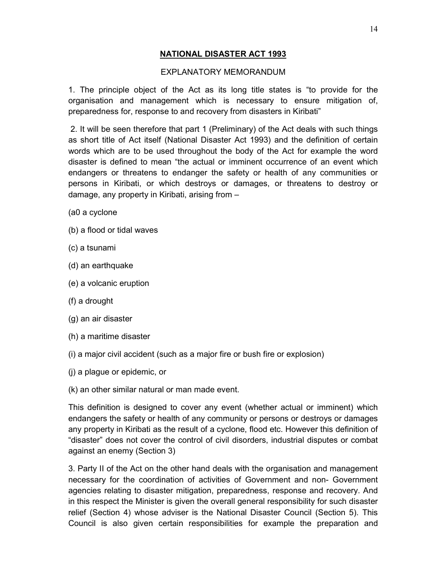## **NATIONAL DISASTER ACT 1993**

#### EXPLANATORY MEMORANDUM

1. The principle object of the Act as its long title states is "to provide for the organisation and management which is necessary to ensure mitigation of, preparedness for, response to and recovery from disasters in Kiribati"

 2. It will be seen therefore that part 1 (Preliminary) of the Act deals with such things as short title of Act itself (National Disaster Act 1993) and the definition of certain words which are to be used throughout the body of the Act for example the word disaster is defined to mean "the actual or imminent occurrence of an event which endangers or threatens to endanger the safety or health of any communities or persons in Kiribati, or which destroys or damages, or threatens to destroy or damage, any property in Kiribati, arising from –

- (a0 a cyclone
- (b) a flood or tidal waves
- (c) a tsunami
- (d) an earthquake
- (e) a volcanic eruption
- (f) a drought
- (g) an air disaster
- (h) a maritime disaster
- (i) a major civil accident (such as a major fire or bush fire or explosion)
- (j) a plague or epidemic, or
- (k) an other similar natural or man made event.

This definition is designed to cover any event (whether actual or imminent) which endangers the safety or health of any community or persons or destroys or damages any property in Kiribati as the result of a cyclone, flood etc. However this definition of "disaster" does not cover the control of civil disorders, industrial disputes or combat against an enemy (Section 3)

3. Party II of the Act on the other hand deals with the organisation and management necessary for the coordination of activities of Government and non- Government agencies relating to disaster mitigation, preparedness, response and recovery. And in this respect the Minister is given the overall general responsibility for such disaster relief (Section 4) whose adviser is the National Disaster Council (Section 5). This Council is also given certain responsibilities for example the preparation and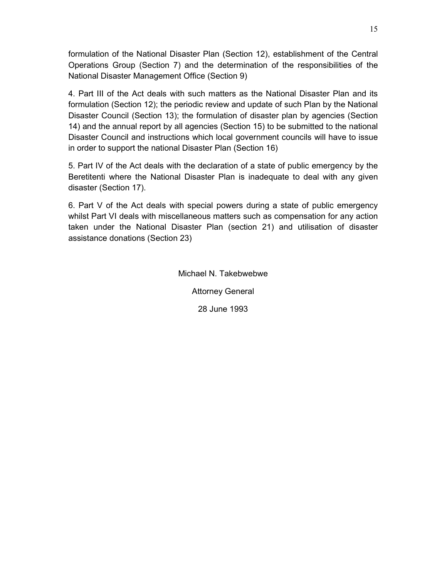formulation of the National Disaster Plan (Section 12), establishment of the Central Operations Group (Section 7) and the determination of the responsibilities of the National Disaster Management Office (Section 9)

4. Part III of the Act deals with such matters as the National Disaster Plan and its formulation (Section 12); the periodic review and update of such Plan by the National Disaster Council (Section 13); the formulation of disaster plan by agencies (Section 14) and the annual report by all agencies (Section 15) to be submitted to the national Disaster Council and instructions which local government councils will have to issue in order to support the national Disaster Plan (Section 16)

5. Part IV of the Act deals with the declaration of a state of public emergency by the Beretitenti where the National Disaster Plan is inadequate to deal with any given disaster (Section 17).

6. Part V of the Act deals with special powers during a state of public emergency whilst Part VI deals with miscellaneous matters such as compensation for any action taken under the National Disaster Plan (section 21) and utilisation of disaster assistance donations (Section 23)

Michael N. Takebwebwe

Attorney General

28 June 1993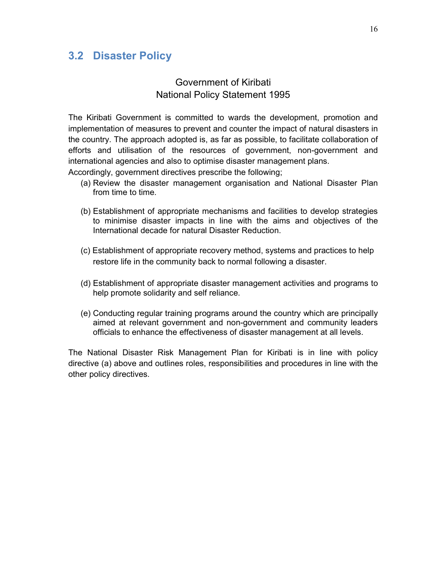## **3.2 Disaster Policy**

## Government of Kiribati National Policy Statement 1995

The Kiribati Government is committed to wards the development, promotion and implementation of measures to prevent and counter the impact of natural disasters in the country. The approach adopted is, as far as possible, to facilitate collaboration of efforts and utilisation of the resources of government, non-government and international agencies and also to optimise disaster management plans.

Accordingly, government directives prescribe the following;

- (a) Review the disaster management organisation and National Disaster Plan from time to time.
- (b) Establishment of appropriate mechanisms and facilities to develop strategies to minimise disaster impacts in line with the aims and objectives of the International decade for natural Disaster Reduction.
- (c) Establishment of appropriate recovery method, systems and practices to help restore life in the community back to normal following a disaster.
- (d) Establishment of appropriate disaster management activities and programs to help promote solidarity and self reliance.
- (e) Conducting regular training programs around the country which are principally aimed at relevant government and non-government and community leaders officials to enhance the effectiveness of disaster management at all levels.

The National Disaster Risk Management Plan for Kiribati is in line with policy directive (a) above and outlines roles, responsibilities and procedures in line with the other policy directives.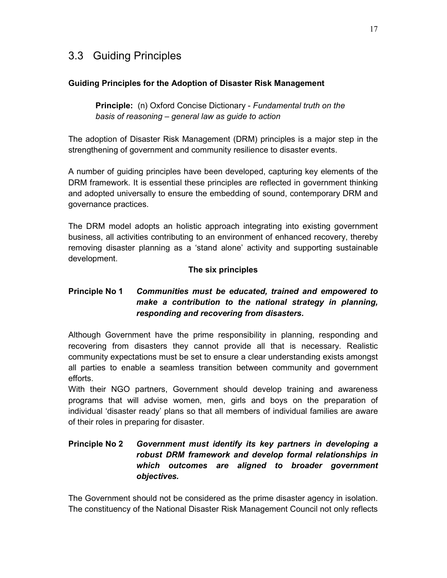# 3.3 Guiding Principles

## **Guiding Principles for the Adoption of Disaster Risk Management**

**Principle:** (n) Oxford Concise Dictionary - *Fundamental truth on the basis of reasoning – general law as guide to action*

The adoption of Disaster Risk Management (DRM) principles is a major step in the strengthening of government and community resilience to disaster events.

A number of guiding principles have been developed, capturing key elements of the DRM framework. It is essential these principles are reflected in government thinking and adopted universally to ensure the embedding of sound, contemporary DRM and governance practices.

The DRM model adopts an holistic approach integrating into existing government business, all activities contributing to an environment of enhanced recovery, thereby removing disaster planning as a 'stand alone' activity and supporting sustainable development.

## **The six principles**

## **Principle No 1** *Communities must be educated, trained and empowered to make a contribution to the national strategy in planning, responding and recovering from disasters.*

Although Government have the prime responsibility in planning, responding and recovering from disasters they cannot provide all that is necessary. Realistic community expectations must be set to ensure a clear understanding exists amongst all parties to enable a seamless transition between community and government efforts.

With their NGO partners, Government should develop training and awareness programs that will advise women, men, girls and boys on the preparation of individual 'disaster ready' plans so that all members of individual families are aware of their roles in preparing for disaster.

## **Principle No 2** *Government must identify its key partners in developing a robust DRM framework and develop formal relationships in which outcomes are aligned to broader government objectives.*

The Government should not be considered as the prime disaster agency in isolation. The constituency of the National Disaster Risk Management Council not only reflects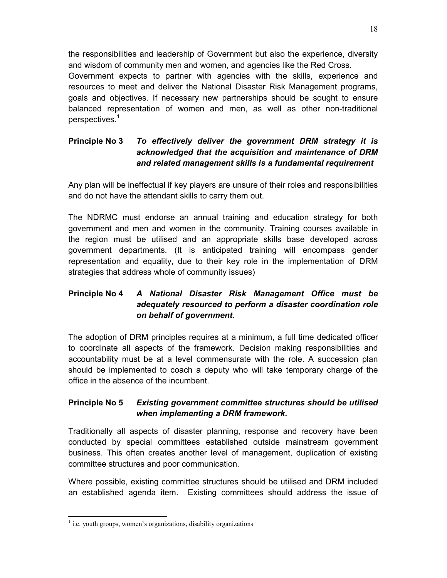the responsibilities and leadership of Government but also the experience, diversity and wisdom of community men and women, and agencies like the Red Cross. Government expects to partner with agencies with the skills, experience and resources to meet and deliver the National Disaster Risk Management programs, goals and objectives. If necessary new partnerships should be sought to ensure balanced representation of women and men, as well as other non-traditional perspectives.<sup>1</sup>

## **Principle No 3** *To effectively deliver the government DRM strategy it is acknowledged that the acquisition and maintenance of DRM and related management skills is a fundamental requirement*

Any plan will be ineffectual if key players are unsure of their roles and responsibilities and do not have the attendant skills to carry them out.

The NDRMC must endorse an annual training and education strategy for both government and men and women in the community. Training courses available in the region must be utilised and an appropriate skills base developed across government departments. (It is anticipated training will encompass gender representation and equality, due to their key role in the implementation of DRM strategies that address whole of community issues)

## **Principle No 4** *A National Disaster Risk Management Office must be adequately resourced to perform a disaster coordination role on behalf of government.*

The adoption of DRM principles requires at a minimum, a full time dedicated officer to coordinate all aspects of the framework. Decision making responsibilities and accountability must be at a level commensurate with the role. A succession plan should be implemented to coach a deputy who will take temporary charge of the office in the absence of the incumbent.

## **Principle No 5** *Existing government committee structures should be utilised when implementing a DRM framework.*

Traditionally all aspects of disaster planning, response and recovery have been conducted by special committees established outside mainstream government business. This often creates another level of management, duplication of existing committee structures and poor communication.

Where possible, existing committee structures should be utilised and DRM included an established agenda item. Existing committees should address the issue of

1

<sup>&</sup>lt;sup>1</sup> i.e. youth groups, women's organizations, disability organizations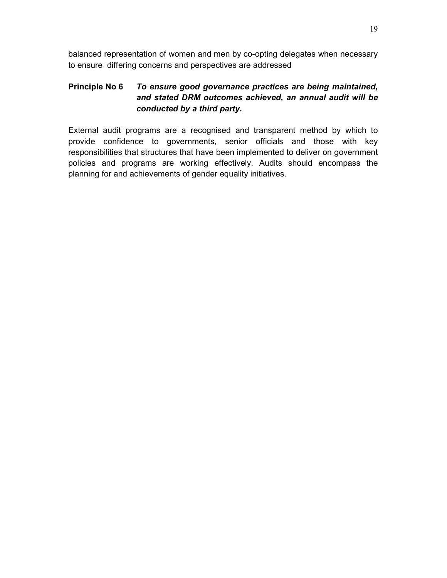balanced representation of women and men by co-opting delegates when necessary to ensure differing concerns and perspectives are addressed

## **Principle No 6** *To ensure good governance practices are being maintained, and stated DRM outcomes achieved, an annual audit will be conducted by a third party.*

External audit programs are a recognised and transparent method by which to provide confidence to governments, senior officials and those with key responsibilities that structures that have been implemented to deliver on government policies and programs are working effectively. Audits should encompass the planning for and achievements of gender equality initiatives.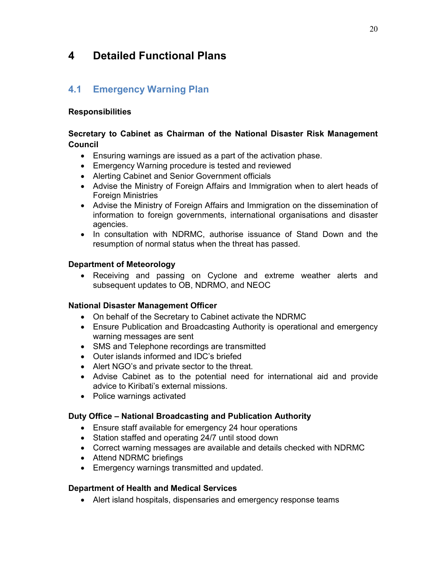# **4 Detailed Functional Plans**

## **4.1 Emergency Warning Plan**

## **Responsibilities**

## **Secretary to Cabinet as Chairman of the National Disaster Risk Management Council**

- Ensuring warnings are issued as a part of the activation phase.
- Emergency Warning procedure is tested and reviewed
- Alerting Cabinet and Senior Government officials
- Advise the Ministry of Foreign Affairs and Immigration when to alert heads of Foreign Ministries
- Advise the Ministry of Foreign Affairs and Immigration on the dissemination of information to foreign governments, international organisations and disaster agencies.
- In consultation with NDRMC, authorise issuance of Stand Down and the resumption of normal status when the threat has passed.

## **Department of Meteorology**

• Receiving and passing on Cyclone and extreme weather alerts and subsequent updates to OB, NDRMO, and NEOC

## **National Disaster Management Officer**

- On behalf of the Secretary to Cabinet activate the NDRMC
- Ensure Publication and Broadcasting Authority is operational and emergency warning messages are sent
- SMS and Telephone recordings are transmitted
- Outer islands informed and IDC's briefed
- Alert NGO's and private sector to the threat.
- Advise Cabinet as to the potential need for international aid and provide advice to Kiribati's external missions.
- Police warnings activated

## **Duty Office – National Broadcasting and Publication Authority**

- Ensure staff available for emergency 24 hour operations
- Station staffed and operating 24/7 until stood down
- Correct warning messages are available and details checked with NDRMC
- Attend NDRMC briefings
- Emergency warnings transmitted and updated.

## **Department of Health and Medical Services**

• Alert island hospitals, dispensaries and emergency response teams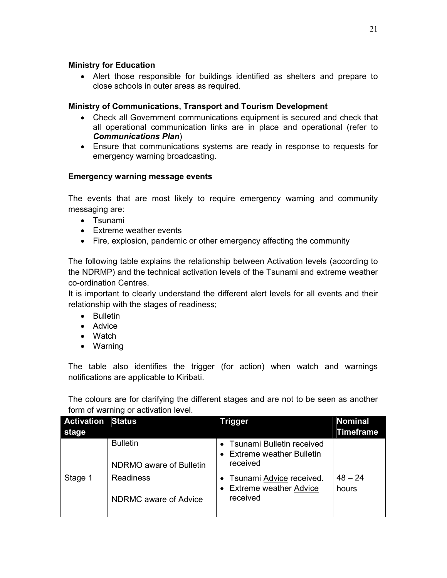## **Ministry for Education**

• Alert those responsible for buildings identified as shelters and prepare to close schools in outer areas as required.

## **Ministry of Communications, Transport and Tourism Development**

- Check all Government communications equipment is secured and check that all operational communication links are in place and operational (refer to *Communications Plan*)
- Ensure that communications systems are ready in response to requests for emergency warning broadcasting.

## **Emergency warning message events**

The events that are most likely to require emergency warning and community messaging are:

- Tsunami
- Extreme weather events
- Fire, explosion, pandemic or other emergency affecting the community

The following table explains the relationship between Activation levels (according to the NDRMP) and the technical activation levels of the Tsunami and extreme weather co-ordination Centres.

It is important to clearly understand the different alert levels for all events and their relationship with the stages of readiness;

- Bulletin
- Advice
- Watch
- Warning

The table also identifies the trigger (for action) when watch and warnings notifications are applicable to Kiribati.

The colours are for clarifying the different stages and are not to be seen as another form of warning or activation level.

| <b>Activation Status</b> |                                            | <b>Trigger</b>                                                           | <b>Nominal</b>     |
|--------------------------|--------------------------------------------|--------------------------------------------------------------------------|--------------------|
| stage                    |                                            |                                                                          | Timeframe          |
|                          | <b>Bulletin</b><br>NDRMO aware of Bulletin | Tsunami Bulletin received<br><b>Extreme weather Bulletin</b><br>received |                    |
| Stage 1                  | <b>Readiness</b><br>NDRMC aware of Advice  | • Tsunami Advice received.<br>• Extreme weather Advice<br>received       | $48 - 24$<br>hours |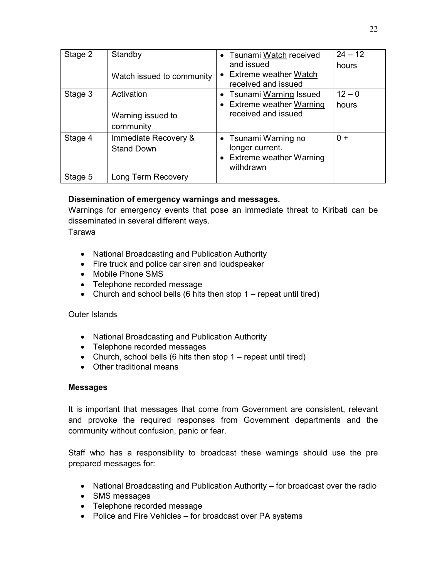| Stage 2 | Standby<br>Watch issued to community         | • Tsunami Watch received<br>and issued<br>• Extreme weather Watch<br>received and issued | $24 - 12$<br>hours |
|---------|----------------------------------------------|------------------------------------------------------------------------------------------|--------------------|
| Stage 3 | Activation<br>Warning issued to<br>community | • Tsunami Warning Issued<br>• Extreme weather Warning<br>received and issued             | $12 - 0$<br>hours  |
| Stage 4 | Immediate Recovery &<br><b>Stand Down</b>    | • Tsunami Warning no<br>longer current.<br>• Extreme weather Warning<br>withdrawn        | $0+$               |
| Stage 5 | Long Term Recovery                           |                                                                                          |                    |

## **Dissemination of emergency warnings and messages.**

Warnings for emergency events that pose an immediate threat to Kiribati can be disseminated in several different ways.

Tarawa

- National Broadcasting and Publication Authority
- Fire truck and police car siren and loudspeaker
- Mobile Phone SMS
- Telephone recorded message
- Church and school bells (6 hits then stop  $1$  repeat until tired)

## Outer Islands

- National Broadcasting and Publication Authority
- Telephone recorded messages
- Church, school bells (6 hits then stop  $1 -$  repeat until tired)
- Other traditional means

## **Messages**

It is important that messages that come from Government are consistent, relevant and provoke the required responses from Government departments and the community without confusion, panic or fear.

Staff who has a responsibility to broadcast these warnings should use the pre prepared messages for:

- National Broadcasting and Publication Authority for broadcast over the radio
- SMS messages
- Telephone recorded message
- Police and Fire Vehicles for broadcast over PA systems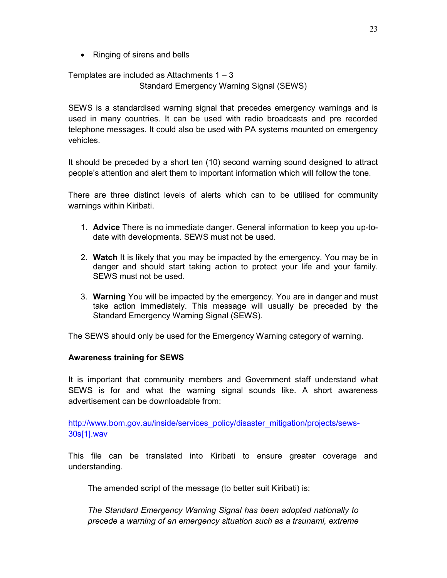• Ringing of sirens and bells

Templates are included as Attachments 1 – 3 Standard Emergency Warning Signal (SEWS)

SEWS is a standardised warning signal that precedes emergency warnings and is used in many countries. It can be used with radio broadcasts and pre recorded telephone messages. It could also be used with PA systems mounted on emergency vehicles.

It should be preceded by a short ten (10) second warning sound designed to attract people's attention and alert them to important information which will follow the tone.

There are three distinct levels of alerts which can to be utilised for community warnings within Kiribati.

- 1. **Advice** There is no immediate danger. General information to keep you up-todate with developments. SEWS must not be used.
- 2. **Watch** It is likely that you may be impacted by the emergency. You may be in danger and should start taking action to protect your life and your family. SEWS must not be used.
- 3. **Warning** You will be impacted by the emergency. You are in danger and must take action immediately. This message will usually be preceded by the Standard Emergency Warning Signal (SEWS).

The SEWS should only be used for the Emergency Warning category of warning.

## **Awareness training for SEWS**

It is important that community members and Government staff understand what SEWS is for and what the warning signal sounds like. A short awareness advertisement can be downloadable from:

http://www.bom.gov.au/inside/services\_policy/disaster\_mitigation/projects/sews-30s[1].wav

This file can be translated into Kiribati to ensure greater coverage and understanding.

The amended script of the message (to better suit Kiribati) is:

*The Standard Emergency Warning Signal has been adopted nationally to precede a warning of an emergency situation such as a trsunami, extreme*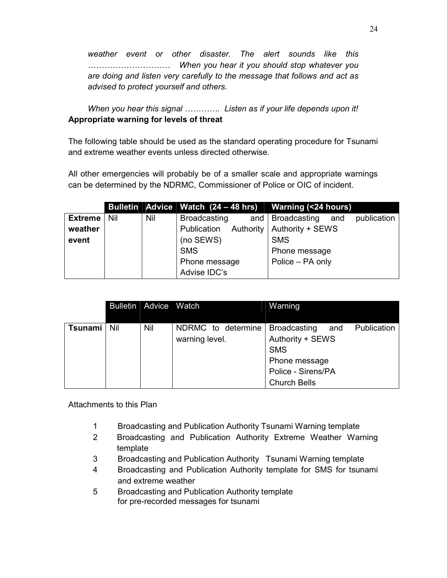*weather event or other disaster. The alert sounds like this )))))))))) When you hear it you should stop whatever you are doing and listen very carefully to the message that follows and act as advised to protect yourself and others.* 

*When you hear this signal ...............* Listen as if your life depends upon it! **Appropriate warning for levels of threat** 

The following table should be used as the standard operating procedure for Tsunami and extreme weather events unless directed otherwise.

All other emergencies will probably be of a smaller scale and appropriate warnings can be determined by the NDRMC, Commissioner of Police or OIC of incident.

|                |     |     | Bulletin Advice Watch (24 – 48 hrs) Warning (<24 hours) |                                          |
|----------------|-----|-----|---------------------------------------------------------|------------------------------------------|
| <b>Extreme</b> | Nil | Nil | <b>Broadcasting</b>                                     | publication<br>and   Broadcasting<br>and |
| weather        |     |     | Authority<br>Publication                                | Authority + SEWS                         |
| event          |     |     | (no SEWS)                                               | <b>SMS</b>                               |
|                |     |     | <b>SMS</b>                                              | Phone message                            |
|                |     |     | Phone message                                           | Police - PA only                         |
|                |     |     | Advise IDC's                                            |                                          |

|         |     | Bulletin   Advice | <b>Watch</b>       | Warning                                   |
|---------|-----|-------------------|--------------------|-------------------------------------------|
|         |     |                   |                    |                                           |
| Tsunami | Nil | Nil               | NDRMC to determine | Publication<br><b>Broadcasting</b><br>and |
|         |     |                   | warning level.     | Authority + SEWS                          |
|         |     |                   |                    | <b>SMS</b>                                |
|         |     |                   |                    | Phone message                             |
|         |     |                   |                    | Police - Sirens/PA                        |
|         |     |                   |                    | <b>Church Bells</b>                       |

Attachments to this Plan

- 1 Broadcasting and Publication Authority Tsunami Warning template
- 2 Broadcasting and Publication Authority Extreme Weather Warning template
- 3 Broadcasting and Publication Authority Tsunami Warning template
- 4 Broadcasting and Publication Authority template for SMS for tsunami and extreme weather
- 5 Broadcasting and Publication Authority template for pre-recorded messages for tsunami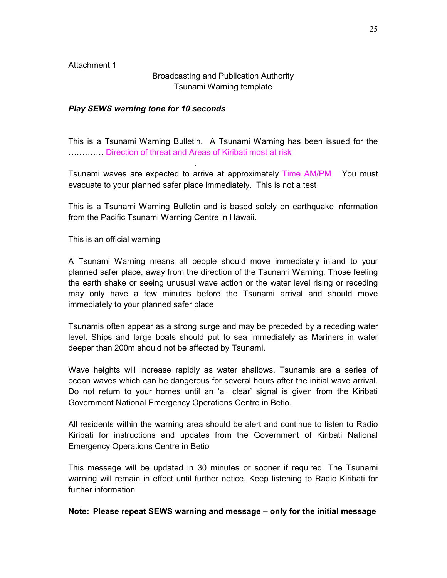## Broadcasting and Publication Authority Tsunami Warning template

#### *Play SEWS warning tone for 10 seconds*

.

This is a Tsunami Warning Bulletin. A Tsunami Warning has been issued for the **RRRRRRRR** Direction of threat and Areas of Kiribati most at risk

Tsunami waves are expected to arrive at approximately Time AM/PM You must evacuate to your planned safer place immediately. This is not a test

This is a Tsunami Warning Bulletin and is based solely on earthquake information from the Pacific Tsunami Warning Centre in Hawaii.

This is an official warning

A Tsunami Warning means all people should move immediately inland to your planned safer place, away from the direction of the Tsunami Warning. Those feeling the earth shake or seeing unusual wave action or the water level rising or receding may only have a few minutes before the Tsunami arrival and should move immediately to your planned safer place

Tsunamis often appear as a strong surge and may be preceded by a receding water level. Ships and large boats should put to sea immediately as Mariners in water deeper than 200m should not be affected by Tsunami.

Wave heights will increase rapidly as water shallows. Tsunamis are a series of ocean waves which can be dangerous for several hours after the initial wave arrival. Do not return to your homes until an 'all clear' signal is given from the Kiribati Government National Emergency Operations Centre in Betio.

All residents within the warning area should be alert and continue to listen to Radio Kiribati for instructions and updates from the Government of Kiribati National Emergency Operations Centre in Betio

This message will be updated in 30 minutes or sooner if required. The Tsunami warning will remain in effect until further notice. Keep listening to Radio Kiribati for further information.

#### **Note: Please repeat SEWS warning and message – only for the initial message**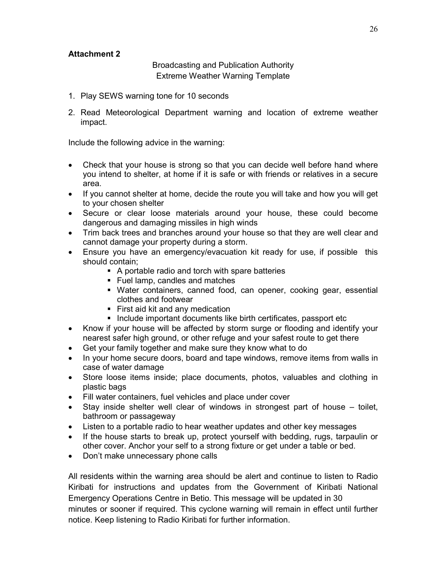Broadcasting and Publication Authority Extreme Weather Warning Template

- 1. Play SEWS warning tone for 10 seconds
- 2. Read Meteorological Department warning and location of extreme weather impact.

Include the following advice in the warning:

- Check that your house is strong so that you can decide well before hand where you intend to shelter, at home if it is safe or with friends or relatives in a secure area.
- If you cannot shelter at home, decide the route you will take and how you will get to your chosen shelter
- Secure or clear loose materials around your house, these could become dangerous and damaging missiles in high winds
- Trim back trees and branches around your house so that they are well clear and cannot damage your property during a storm.
- Ensure you have an emergency/evacuation kit ready for use, if possible this should contain;
	- A portable radio and torch with spare batteries
	- Fuel lamp, candles and matches
	- Water containers, canned food, can opener, cooking gear, essential clothes and footwear
	- **First aid kit and any medication**
	- **Include important documents like birth certificates, passport etc**
- Know if your house will be affected by storm surge or flooding and identify your nearest safer high ground, or other refuge and your safest route to get there
- Get your family together and make sure they know what to do
- In your home secure doors, board and tape windows, remove items from walls in case of water damage
- Store loose items inside; place documents, photos, valuables and clothing in plastic bags
- Fill water containers, fuel vehicles and place under cover
- Stay inside shelter well clear of windows in strongest part of house toilet, bathroom or passageway
- Listen to a portable radio to hear weather updates and other key messages
- If the house starts to break up, protect yourself with bedding, rugs, tarpaulin or other cover. Anchor your self to a strong fixture or get under a table or bed.
- Don't make unnecessary phone calls

All residents within the warning area should be alert and continue to listen to Radio Kiribati for instructions and updates from the Government of Kiribati National Emergency Operations Centre in Betio. This message will be updated in 30 minutes or sooner if required. This cyclone warning will remain in effect until further notice. Keep listening to Radio Kiribati for further information.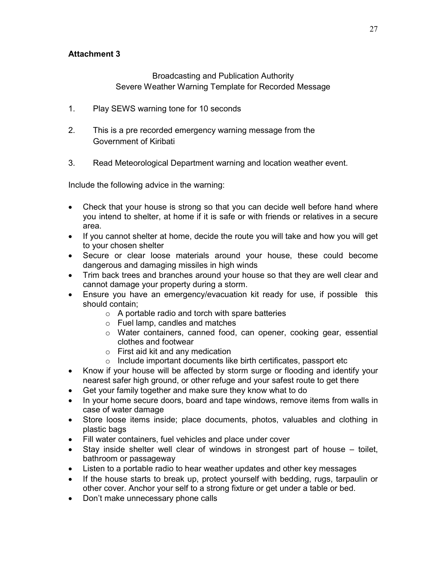Broadcasting and Publication Authority Severe Weather Warning Template for Recorded Message

- 1. Play SEWS warning tone for 10 seconds
- 2. This is a pre recorded emergency warning message from the Government of Kiribati
- 3. Read Meteorological Department warning and location weather event.

Include the following advice in the warning:

- Check that your house is strong so that you can decide well before hand where you intend to shelter, at home if it is safe or with friends or relatives in a secure area.
- If you cannot shelter at home, decide the route you will take and how you will get to your chosen shelter
- Secure or clear loose materials around your house, these could become dangerous and damaging missiles in high winds
- Trim back trees and branches around your house so that they are well clear and cannot damage your property during a storm.
- Ensure you have an emergency/evacuation kit ready for use, if possible this should contain;
	- $\circ$  A portable radio and torch with spare batteries
	- o Fuel lamp, candles and matches
	- o Water containers, canned food, can opener, cooking gear, essential clothes and footwear
	- o First aid kit and any medication
	- o Include important documents like birth certificates, passport etc
- Know if your house will be affected by storm surge or flooding and identify your nearest safer high ground, or other refuge and your safest route to get there
- Get your family together and make sure they know what to do
- In your home secure doors, board and tape windows, remove items from walls in case of water damage
- Store loose items inside; place documents, photos, valuables and clothing in plastic bags
- Fill water containers, fuel vehicles and place under cover
- Stay inside shelter well clear of windows in strongest part of house toilet, bathroom or passageway
- Listen to a portable radio to hear weather updates and other key messages
- If the house starts to break up, protect yourself with bedding, rugs, tarpaulin or other cover. Anchor your self to a strong fixture or get under a table or bed.
- Don't make unnecessary phone calls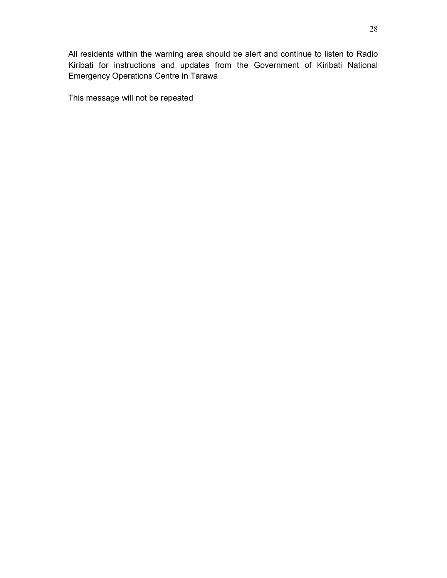All residents within the warning area should be alert and continue to listen to Radio Kiribati for instructions and updates from the Government of Kiribati National Emergency Operations Centre in Tarawa

This message will not be repeated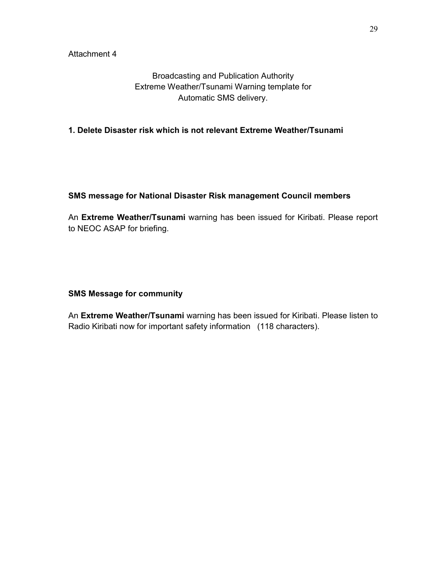Broadcasting and Publication Authority Extreme Weather/Tsunami Warning template for Automatic SMS delivery.

**1. Delete Disaster risk which is not relevant Extreme Weather/Tsunami** 

## **SMS message for National Disaster Risk management Council members**

An **Extreme Weather/Tsunami** warning has been issued for Kiribati. Please report to NEOC ASAP for briefing.

## **SMS Message for community**

An **Extreme Weather/Tsunami** warning has been issued for Kiribati. Please listen to Radio Kiribati now for important safety information (118 characters).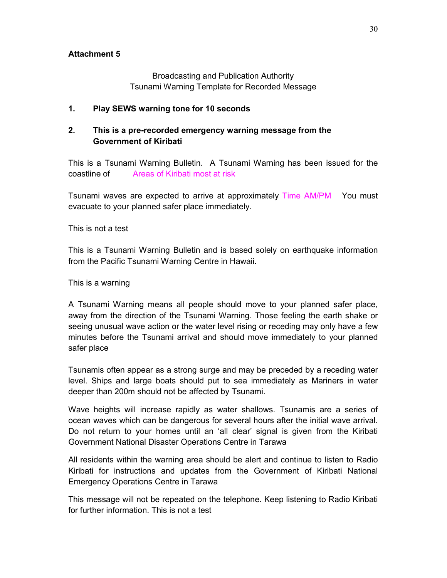Broadcasting and Publication Authority Tsunami Warning Template for Recorded Message

## **1. Play SEWS warning tone for 10 seconds**

## **2. This is a pre-recorded emergency warning message from the Government of Kiribati**

This is a Tsunami Warning Bulletin. A Tsunami Warning has been issued for the coastline of Areas of Kiribati most at risk

Tsunami waves are expected to arrive at approximately Time AM/PM You must evacuate to your planned safer place immediately.

This is not a test

This is a Tsunami Warning Bulletin and is based solely on earthquake information from the Pacific Tsunami Warning Centre in Hawaii.

This is a warning

A Tsunami Warning means all people should move to your planned safer place, away from the direction of the Tsunami Warning. Those feeling the earth shake or seeing unusual wave action or the water level rising or receding may only have a few minutes before the Tsunami arrival and should move immediately to your planned safer place

Tsunamis often appear as a strong surge and may be preceded by a receding water level. Ships and large boats should put to sea immediately as Mariners in water deeper than 200m should not be affected by Tsunami.

Wave heights will increase rapidly as water shallows. Tsunamis are a series of ocean waves which can be dangerous for several hours after the initial wave arrival. Do not return to your homes until an 'all clear' signal is given from the Kiribati Government National Disaster Operations Centre in Tarawa

All residents within the warning area should be alert and continue to listen to Radio Kiribati for instructions and updates from the Government of Kiribati National Emergency Operations Centre in Tarawa

This message will not be repeated on the telephone. Keep listening to Radio Kiribati for further information. This is not a test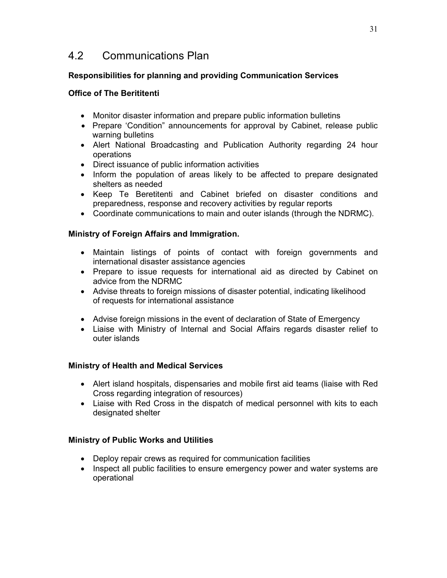# 4.2 Communications Plan

## **Responsibilities for planning and providing Communication Services**

## **Office of The Berititenti**

- Monitor disaster information and prepare public information bulletins
- Prepare 'Condition" announcements for approval by Cabinet, release public warning bulletins
- Alert National Broadcasting and Publication Authority regarding 24 hour operations
- Direct issuance of public information activities
- Inform the population of areas likely to be affected to prepare designated shelters as needed
- Keep Te Beretitenti and Cabinet briefed on disaster conditions and preparedness, response and recovery activities by regular reports
- Coordinate communications to main and outer islands (through the NDRMC).

## **Ministry of Foreign Affairs and Immigration.**

- Maintain listings of points of contact with foreign governments and international disaster assistance agencies
- Prepare to issue requests for international aid as directed by Cabinet on advice from the NDRMC
- Advise threats to foreign missions of disaster potential, indicating likelihood of requests for international assistance
- Advise foreign missions in the event of declaration of State of Emergency
- Liaise with Ministry of Internal and Social Affairs regards disaster relief to outer islands

## **Ministry of Health and Medical Services**

- Alert island hospitals, dispensaries and mobile first aid teams (liaise with Red Cross regarding integration of resources)
- Liaise with Red Cross in the dispatch of medical personnel with kits to each designated shelter

## **Ministry of Public Works and Utilities**

- Deploy repair crews as required for communication facilities
- Inspect all public facilities to ensure emergency power and water systems are operational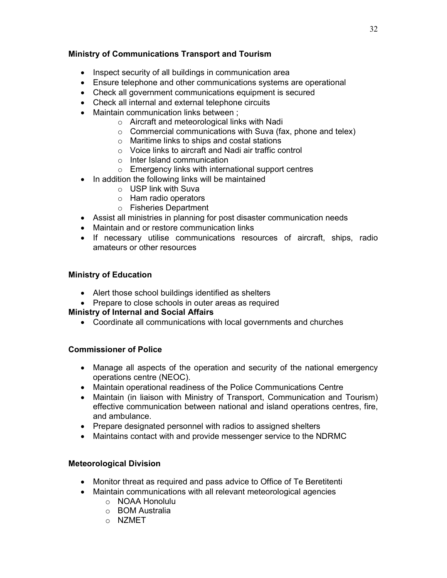## **Ministry of Communications Transport and Tourism**

- Inspect security of all buildings in communication area
- Ensure telephone and other communications systems are operational
- Check all government communications equipment is secured
- Check all internal and external telephone circuits
- Maintain communication links between ;
	- o Aircraft and meteorological links with Nadi
	- $\circ$  Commercial communications with Suva (fax, phone and telex)
	- o Maritime links to ships and costal stations
	- o Voice links to aircraft and Nadi air traffic control
	- o Inter Island communication
	- o Emergency links with international support centres
- In addition the following links will be maintained
	- o USP link with Suva
	- o Ham radio operators
	- o Fisheries Department
- Assist all ministries in planning for post disaster communication needs
- Maintain and or restore communication links
- If necessary utilise communications resources of aircraft, ships, radio amateurs or other resources

## **Ministry of Education**

- Alert those school buildings identified as shelters
- Prepare to close schools in outer areas as required

## **Ministry of Internal and Social Affairs**

• Coordinate all communications with local governments and churches

## **Commissioner of Police**

- Manage all aspects of the operation and security of the national emergency operations centre (NEOC).
- Maintain operational readiness of the Police Communications Centre
- Maintain (in liaison with Ministry of Transport, Communication and Tourism) effective communication between national and island operations centres, fire, and ambulance.
- Prepare designated personnel with radios to assigned shelters
- Maintains contact with and provide messenger service to the NDRMC

## **Meteorological Division**

- Monitor threat as required and pass advice to Office of Te Beretitenti
- Maintain communications with all relevant meteorological agencies o NOAA Honolulu
	- o BOM Australia
	-
	- o NZMET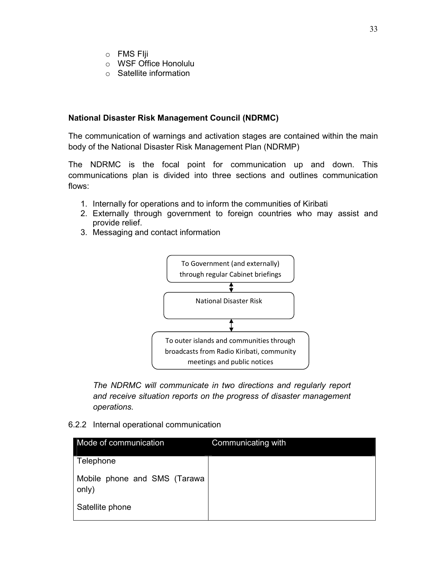- o FMS FIji
- o WSF Office Honolulu
- o Satellite information

## **National Disaster Risk Management Council (NDRMC)**

The communication of warnings and activation stages are contained within the main body of the National Disaster Risk Management Plan (NDRMP)

The NDRMC is the focal point for communication up and down. This communications plan is divided into three sections and outlines communication flows:

- 1. Internally for operations and to inform the communities of Kiribati
- 2. Externally through government to foreign countries who may assist and provide relief.
- 3. Messaging and contact information



*The NDRMC will communicate in two directions and regularly report and receive situation reports on the progress of disaster management operations.* 

6.2.2 Internal operational communication

| Mode of communication                 | Communicating with |
|---------------------------------------|--------------------|
| Telephone                             |                    |
| Mobile phone and SMS (Tarawa<br>only) |                    |
| Satellite phone                       |                    |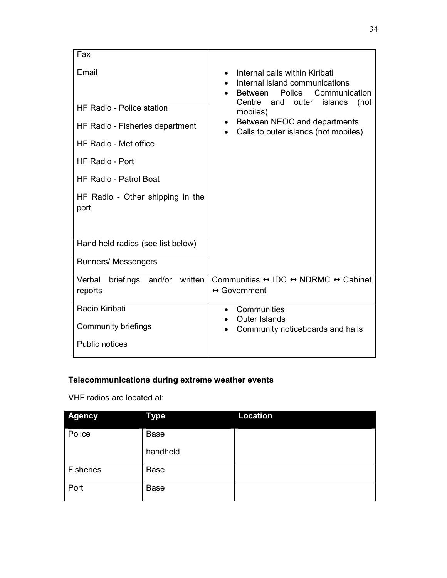| Fax                                                                                                                                                                                                                                                               |                                                                                                                                                                                                                                                          |
|-------------------------------------------------------------------------------------------------------------------------------------------------------------------------------------------------------------------------------------------------------------------|----------------------------------------------------------------------------------------------------------------------------------------------------------------------------------------------------------------------------------------------------------|
| Email<br><b>HF Radio - Police station</b><br>HF Radio - Fisheries department<br>HF Radio - Met office<br>HF Radio - Port<br><b>HF Radio - Patrol Boat</b><br>HF Radio - Other shipping in the<br>port<br>Hand held radios (see list below)<br>Runners/ Messengers | Internal calls within Kiribati<br>Internal island communications<br>Police<br>Communication<br><b>Between</b><br>Centre<br>and outer<br>islands<br>(not<br>mobiles)<br>Between NEOC and departments<br>$\bullet$<br>Calls to outer islands (not mobiles) |
| Verbal<br>and/or written<br>briefings<br>reports                                                                                                                                                                                                                  | Communities $\leftrightarrow$ IDC $\leftrightarrow$ NDRMC $\leftrightarrow$ Cabinet<br>$\leftrightarrow$ Government                                                                                                                                      |
| Radio Kiribati<br><b>Community briefings</b><br><b>Public notices</b>                                                                                                                                                                                             | Communities<br>$\bullet$<br><b>Outer Islands</b><br>Community noticeboards and halls<br>$\bullet$                                                                                                                                                        |

## **Telecommunications during extreme weather events**

VHF radios are located at:

| <b>Agency</b>    | <b>Type</b> | <b>Location</b> |
|------------------|-------------|-----------------|
| Police           | <b>Base</b> |                 |
|                  | handheld    |                 |
| <b>Fisheries</b> | <b>Base</b> |                 |
| Port             | <b>Base</b> |                 |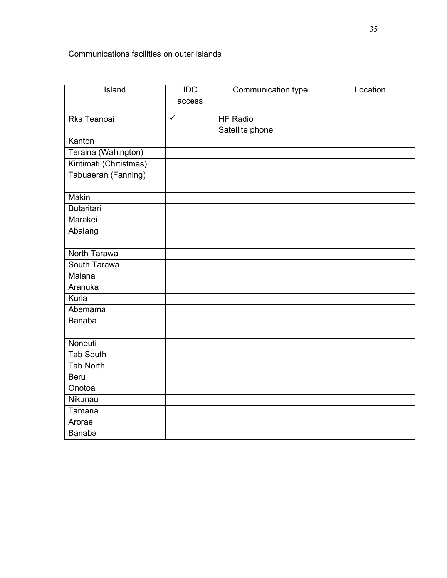## Communications facilities on outer islands

| Island                  | $\overline{IDC}$ | Communication type | Location |
|-------------------------|------------------|--------------------|----------|
|                         | access           |                    |          |
|                         |                  |                    |          |
| <b>Rks Teanoai</b>      | $\checkmark$     | <b>HF Radio</b>    |          |
|                         |                  | Satellite phone    |          |
| Kanton                  |                  |                    |          |
| Teraina (Wahington)     |                  |                    |          |
| Kiritimati (Chrtistmas) |                  |                    |          |
| Tabuaeran (Fanning)     |                  |                    |          |
|                         |                  |                    |          |
| <b>Makin</b>            |                  |                    |          |
| <b>Butaritari</b>       |                  |                    |          |
| Marakei                 |                  |                    |          |
| Abaiang                 |                  |                    |          |
|                         |                  |                    |          |
| North Tarawa            |                  |                    |          |
| South Tarawa            |                  |                    |          |
| Maiana                  |                  |                    |          |
| Aranuka                 |                  |                    |          |
| Kuria                   |                  |                    |          |
| Abemama                 |                  |                    |          |
| <b>Banaba</b>           |                  |                    |          |
|                         |                  |                    |          |
| Nonouti                 |                  |                    |          |
| <b>Tab South</b>        |                  |                    |          |
| <b>Tab North</b>        |                  |                    |          |
| <b>Beru</b>             |                  |                    |          |
| Onotoa                  |                  |                    |          |
| Nikunau                 |                  |                    |          |
| Tamana                  |                  |                    |          |
| Arorae                  |                  |                    |          |
| <b>Banaba</b>           |                  |                    |          |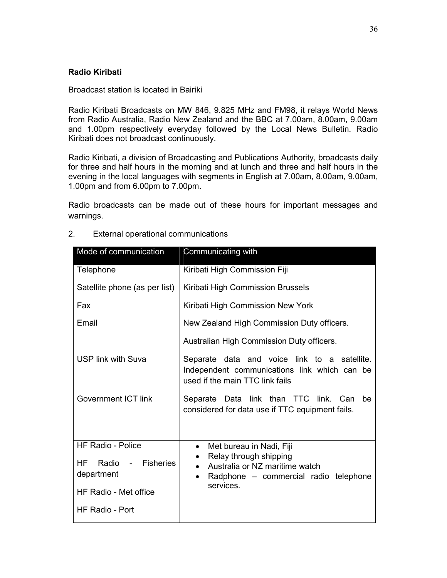## **Radio Kiribati**

#### Broadcast station is located in Bairiki

Radio Kiribati Broadcasts on MW 846, 9.825 MHz and FM98, it relays World News from Radio Australia, Radio New Zealand and the BBC at 7.00am, 8.00am, 9.00am and 1.00pm respectively everyday followed by the Local News Bulletin. Radio Kiribati does not broadcast continuously.

Radio Kiribati, a division of Broadcasting and Publications Authority, broadcasts daily for three and half hours in the morning and at lunch and three and half hours in the evening in the local languages with segments in English at 7.00am, 8.00am, 9.00am, 1.00pm and from 6.00pm to 7.00pm.

Radio broadcasts can be made out of these hours for important messages and warnings.

| Mode of communication                                                                                                                 | Communicating with                                                                                                                                                                |
|---------------------------------------------------------------------------------------------------------------------------------------|-----------------------------------------------------------------------------------------------------------------------------------------------------------------------------------|
| Telephone                                                                                                                             | Kiribati High Commission Fiji                                                                                                                                                     |
| Satellite phone (as per list)                                                                                                         | Kiribati High Commission Brussels                                                                                                                                                 |
| Fax                                                                                                                                   | Kiribati High Commission New York                                                                                                                                                 |
| Email                                                                                                                                 | New Zealand High Commission Duty officers.                                                                                                                                        |
|                                                                                                                                       | Australian High Commission Duty officers.                                                                                                                                         |
| <b>USP link with Suva</b>                                                                                                             | Separate data and voice link to a satellite.<br>Independent communications link which can be<br>used if the main TTC link fails                                                   |
| <b>Government ICT link</b>                                                                                                            | Separate Data link than TTC link. Can<br>be<br>considered for data use if TTC equipment fails.                                                                                    |
| <b>HF Radio - Police</b><br><b>Fisheries</b><br><b>HF</b><br>Radio -<br>department<br><b>HF Radio - Met office</b><br>HF Radio - Port | Met bureau in Nadi, Fiji<br>$\bullet$<br>Relay through shipping<br>Australia or NZ maritime watch<br>$\bullet$<br>Radphone - commercial radio telephone<br>$\bullet$<br>services. |

2. External operational communications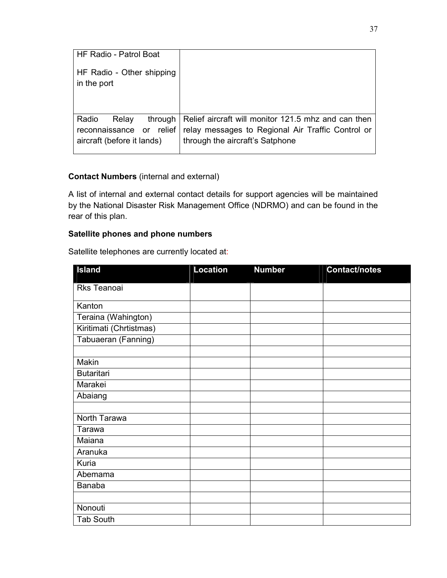| <b>HF Radio - Patrol Boat</b>                         |                                                                                                          |
|-------------------------------------------------------|----------------------------------------------------------------------------------------------------------|
| HF Radio - Other shipping<br>in the port              |                                                                                                          |
| Radio<br>through<br>Relay<br>reconnaissance or relief | Relief aircraft will monitor 121.5 mhz and can then<br>relay messages to Regional Air Traffic Control or |
| aircraft (before it lands)                            | through the aircraft's Satphone                                                                          |

## **Contact Numbers** (internal and external)

A list of internal and external contact details for support agencies will be maintained by the National Disaster Risk Management Office (NDRMO) and can be found in the rear of this plan.

## **Satellite phones and phone numbers**

Satellite telephones are currently located at:

| <b>Island</b>           | <b>Location</b> | <b>Number</b> | Contact/notes |
|-------------------------|-----------------|---------------|---------------|
| Rks Teanoai             |                 |               |               |
| Kanton                  |                 |               |               |
| Teraina (Wahington)     |                 |               |               |
| Kiritimati (Chrtistmas) |                 |               |               |
| Tabuaeran (Fanning)     |                 |               |               |
|                         |                 |               |               |
| Makin                   |                 |               |               |
| <b>Butaritari</b>       |                 |               |               |
| Marakei                 |                 |               |               |
| Abaiang                 |                 |               |               |
|                         |                 |               |               |
| North Tarawa            |                 |               |               |
| Tarawa                  |                 |               |               |
| Maiana                  |                 |               |               |
| Aranuka                 |                 |               |               |
| Kuria                   |                 |               |               |
| Abemama                 |                 |               |               |
| <b>Banaba</b>           |                 |               |               |
|                         |                 |               |               |
| Nonouti                 |                 |               |               |
| <b>Tab South</b>        |                 |               |               |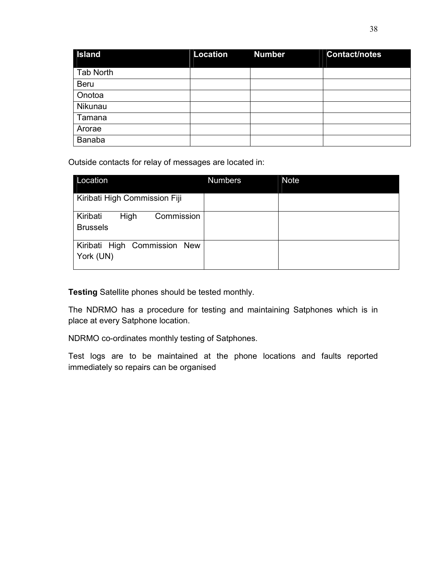| <b>Island</b>    | <b>Location</b> | <b>Number</b> | <b>Contact/notes</b> |
|------------------|-----------------|---------------|----------------------|
| <b>Tab North</b> |                 |               |                      |
| <b>Beru</b>      |                 |               |                      |
| Onotoa           |                 |               |                      |
| Nikunau          |                 |               |                      |
| Tamana           |                 |               |                      |
| Arorae           |                 |               |                      |
| Banaba           |                 |               |                      |

Outside contacts for relay of messages are located in:

| Location                                                 | <b>Numbers</b> | <b>Note</b> |
|----------------------------------------------------------|----------------|-------------|
| Kiribati High Commission Fiji                            |                |             |
| Commission<br>Kiribati<br><b>High</b><br><b>Brussels</b> |                |             |
| Kiribati High Commission New<br>York (UN)                |                |             |

**Testing** Satellite phones should be tested monthly.

The NDRMO has a procedure for testing and maintaining Satphones which is in place at every Satphone location.

NDRMO co-ordinates monthly testing of Satphones.

Test logs are to be maintained at the phone locations and faults reported immediately so repairs can be organised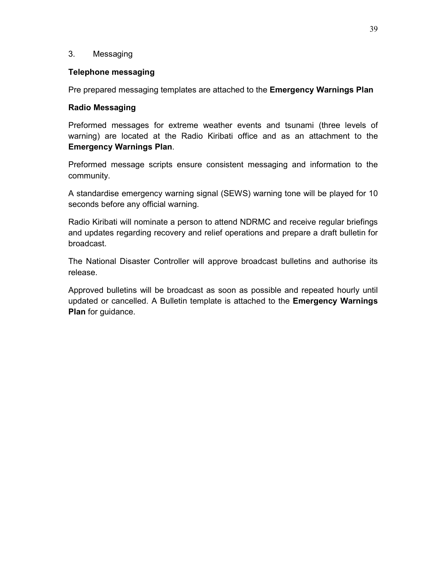## 3. Messaging

#### **Telephone messaging**

Pre prepared messaging templates are attached to the **Emergency Warnings Plan**

## **Radio Messaging**

Preformed messages for extreme weather events and tsunami (three levels of warning) are located at the Radio Kiribati office and as an attachment to the **Emergency Warnings Plan**.

Preformed message scripts ensure consistent messaging and information to the community.

A standardise emergency warning signal (SEWS) warning tone will be played for 10 seconds before any official warning.

Radio Kiribati will nominate a person to attend NDRMC and receive regular briefings and updates regarding recovery and relief operations and prepare a draft bulletin for broadcast.

The National Disaster Controller will approve broadcast bulletins and authorise its release.

Approved bulletins will be broadcast as soon as possible and repeated hourly until updated or cancelled. A Bulletin template is attached to the **Emergency Warnings Plan** for guidance.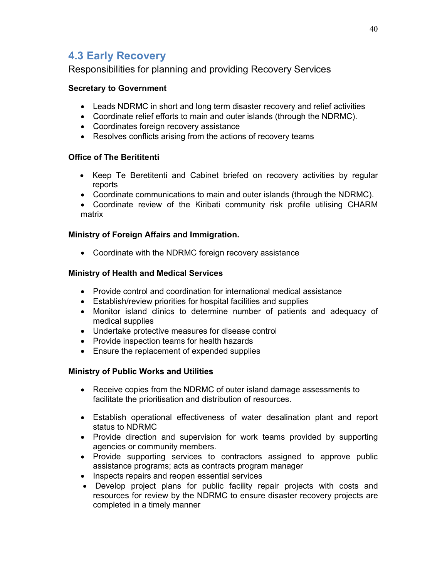# **4.3 Early Recovery**

Responsibilities for planning and providing Recovery Services

## **Secretary to Government**

- Leads NDRMC in short and long term disaster recovery and relief activities
- Coordinate relief efforts to main and outer islands (through the NDRMC).
- Coordinates foreign recovery assistance
- Resolves conflicts arising from the actions of recovery teams

## **Office of The Berititenti**

- Keep Te Beretitenti and Cabinet briefed on recovery activities by regular reports
- Coordinate communications to main and outer islands (through the NDRMC).
- Coordinate review of the Kiribati community risk profile utilising CHARM matrix

## **Ministry of Foreign Affairs and Immigration.**

• Coordinate with the NDRMC foreign recovery assistance

## **Ministry of Health and Medical Services**

- Provide control and coordination for international medical assistance
- Establish/review priorities for hospital facilities and supplies
- Monitor island clinics to determine number of patients and adequacy of medical supplies
- Undertake protective measures for disease control
- Provide inspection teams for health hazards
- Ensure the replacement of expended supplies

## **Ministry of Public Works and Utilities**

- Receive copies from the NDRMC of outer island damage assessments to facilitate the prioritisation and distribution of resources.
- Establish operational effectiveness of water desalination plant and report status to NDRMC
- Provide direction and supervision for work teams provided by supporting agencies or community members.
- Provide supporting services to contractors assigned to approve public assistance programs; acts as contracts program manager
- Inspects repairs and reopen essential services
- Develop project plans for public facility repair projects with costs and resources for review by the NDRMC to ensure disaster recovery projects are completed in a timely manner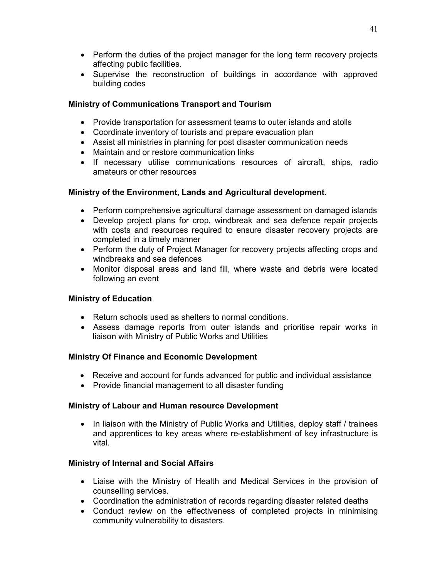- Perform the duties of the project manager for the long term recovery projects affecting public facilities.
- Supervise the reconstruction of buildings in accordance with approved building codes

## **Ministry of Communications Transport and Tourism**

- Provide transportation for assessment teams to outer islands and atolls
- Coordinate inventory of tourists and prepare evacuation plan
- Assist all ministries in planning for post disaster communication needs
- Maintain and or restore communication links
- If necessary utilise communications resources of aircraft, ships, radio amateurs or other resources

## **Ministry of the Environment, Lands and Agricultural development.**

- Perform comprehensive agricultural damage assessment on damaged islands
- Develop project plans for crop, windbreak and sea defence repair projects with costs and resources required to ensure disaster recovery projects are completed in a timely manner
- Perform the duty of Project Manager for recovery projects affecting crops and windbreaks and sea defences
- Monitor disposal areas and land fill, where waste and debris were located following an event

## **Ministry of Education**

- Return schools used as shelters to normal conditions.
- Assess damage reports from outer islands and prioritise repair works in liaison with Ministry of Public Works and Utilities

## **Ministry Of Finance and Economic Development**

- Receive and account for funds advanced for public and individual assistance
- Provide financial management to all disaster funding

## **Ministry of Labour and Human resource Development**

• In liaison with the Ministry of Public Works and Utilities, deploy staff / trainees and apprentices to key areas where re-establishment of key infrastructure is vital.

## **Ministry of Internal and Social Affairs**

- Liaise with the Ministry of Health and Medical Services in the provision of counselling services.
- Coordination the administration of records regarding disaster related deaths
- Conduct review on the effectiveness of completed projects in minimising community vulnerability to disasters.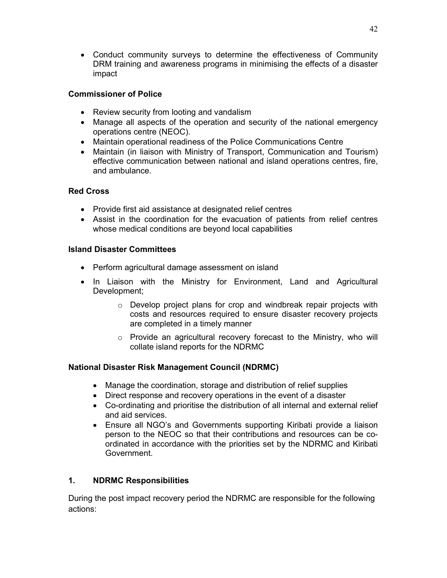• Conduct community surveys to determine the effectiveness of Community DRM training and awareness programs in minimising the effects of a disaster impact

## **Commissioner of Police**

- Review security from looting and vandalism
- Manage all aspects of the operation and security of the national emergency operations centre (NEOC).
- Maintain operational readiness of the Police Communications Centre
- Maintain (in liaison with Ministry of Transport, Communication and Tourism) effective communication between national and island operations centres, fire, and ambulance.

## **Red Cross**

- Provide first aid assistance at designated relief centres
- Assist in the coordination for the evacuation of patients from relief centres whose medical conditions are beyond local capabilities

## **Island Disaster Committees**

- Perform agricultural damage assessment on island
- In Liaison with the Ministry for Environment, Land and Agricultural Development;
	- o Develop project plans for crop and windbreak repair projects with costs and resources required to ensure disaster recovery projects are completed in a timely manner
	- o Provide an agricultural recovery forecast to the Ministry, who will collate island reports for the NDRMC

## **National Disaster Risk Management Council (NDRMC)**

- Manage the coordination, storage and distribution of relief supplies
- Direct response and recovery operations in the event of a disaster
- Co-ordinating and prioritise the distribution of all internal and external relief and aid services.
- Ensure all NGO's and Governments supporting Kiribati provide a liaison person to the NEOC so that their contributions and resources can be coordinated in accordance with the priorities set by the NDRMC and Kiribati Government.

## **1. NDRMC Responsibilities**

During the post impact recovery period the NDRMC are responsible for the following actions: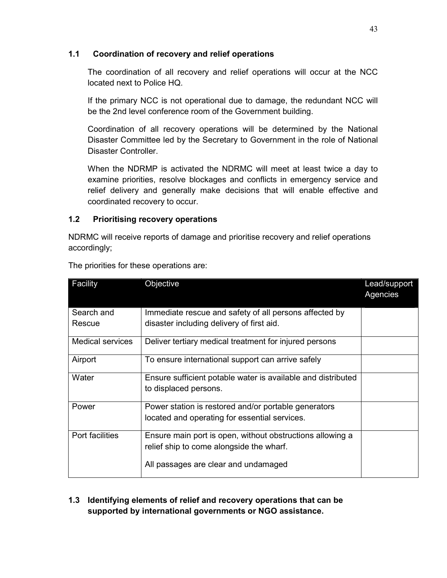## **1.1 Coordination of recovery and relief operations**

The coordination of all recovery and relief operations will occur at the NCC located next to Police HQ.

If the primary NCC is not operational due to damage, the redundant NCC will be the 2nd level conference room of the Government building.

Coordination of all recovery operations will be determined by the National Disaster Committee led by the Secretary to Government in the role of National Disaster Controller.

When the NDRMP is activated the NDRMC will meet at least twice a day to examine priorities, resolve blockages and conflicts in emergency service and relief delivery and generally make decisions that will enable effective and coordinated recovery to occur.

## **1.2 Prioritising recovery operations**

NDRMC will receive reports of damage and prioritise recovery and relief operations accordingly;

| Facility                | Objective                                                                                             | Lead/support<br>Agencies |
|-------------------------|-------------------------------------------------------------------------------------------------------|--------------------------|
| Search and<br>Rescue    | Immediate rescue and safety of all persons affected by<br>disaster including delivery of first aid.   |                          |
| <b>Medical services</b> | Deliver tertiary medical treatment for injured persons                                                |                          |
| Airport                 | To ensure international support can arrive safely                                                     |                          |
| Water                   | Ensure sufficient potable water is available and distributed<br>to displaced persons.                 |                          |
| Power                   | Power station is restored and/or portable generators<br>located and operating for essential services. |                          |
| Port facilities         | Ensure main port is open, without obstructions allowing a<br>relief ship to come alongside the wharf. |                          |
|                         | All passages are clear and undamaged                                                                  |                          |

The priorities for these operations are:

## **1.3 Identifying elements of relief and recovery operations that can be supported by international governments or NGO assistance.**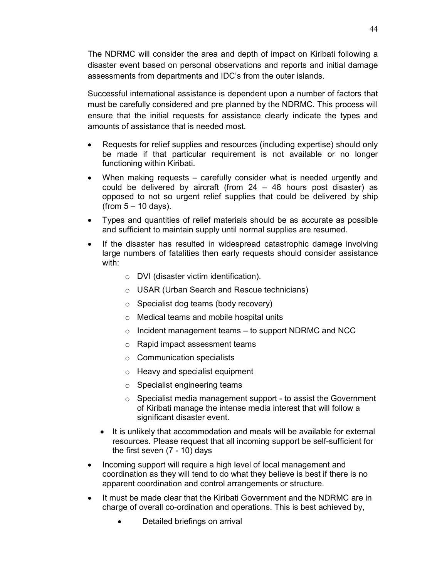The NDRMC will consider the area and depth of impact on Kiribati following a disaster event based on personal observations and reports and initial damage assessments from departments and IDC's from the outer islands.

Successful international assistance is dependent upon a number of factors that must be carefully considered and pre planned by the NDRMC. This process will ensure that the initial requests for assistance clearly indicate the types and amounts of assistance that is needed most.

- Requests for relief supplies and resources (including expertise) should only be made if that particular requirement is not available or no longer functioning within Kiribati.
- When making requests carefully consider what is needed urgently and could be delivered by aircraft (from  $24 - 48$  hours post disaster) as opposed to not so urgent relief supplies that could be delivered by ship  $(from 5 - 10 days).$
- Types and quantities of relief materials should be as accurate as possible and sufficient to maintain supply until normal supplies are resumed.
- If the disaster has resulted in widespread catastrophic damage involving large numbers of fatalities then early requests should consider assistance with:
	- o DVI (disaster victim identification).
	- o USAR (Urban Search and Rescue technicians)
	- o Specialist dog teams (body recovery)
	- o Medical teams and mobile hospital units
	- $\circ$  Incident management teams to support NDRMC and NCC
	- o Rapid impact assessment teams
	- o Communication specialists
	- o Heavy and specialist equipment
	- o Specialist engineering teams
	- o Specialist media management support to assist the Government of Kiribati manage the intense media interest that will follow a significant disaster event.
	- It is unlikely that accommodation and meals will be available for external resources. Please request that all incoming support be self-sufficient for the first seven (7 - 10) days
- Incoming support will require a high level of local management and coordination as they will tend to do what they believe is best if there is no apparent coordination and control arrangements or structure.
- It must be made clear that the Kiribati Government and the NDRMC are in charge of overall co-ordination and operations. This is best achieved by,
	- Detailed briefings on arrival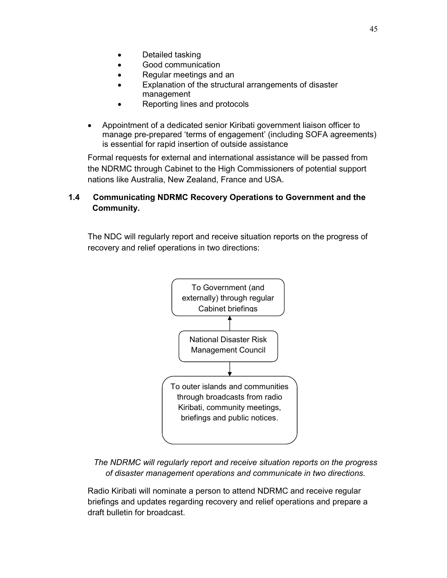- Detailed tasking
- Good communication
- Regular meetings and an
- Explanation of the structural arrangements of disaster management
- Reporting lines and protocols
- Appointment of a dedicated senior Kiribati government liaison officer to manage pre-prepared 'terms of engagement' (including SOFA agreements) is essential for rapid insertion of outside assistance

Formal requests for external and international assistance will be passed from the NDRMC through Cabinet to the High Commissioners of potential support nations like Australia, New Zealand, France and USA.

## **1.4 Communicating NDRMC Recovery Operations to Government and the Community.**

The NDC will regularly report and receive situation reports on the progress of recovery and relief operations in two directions:



*The NDRMC will regularly report and receive situation reports on the progress of disaster management operations and communicate in two directions.* 

Radio Kiribati will nominate a person to attend NDRMC and receive regular briefings and updates regarding recovery and relief operations and prepare a draft bulletin for broadcast.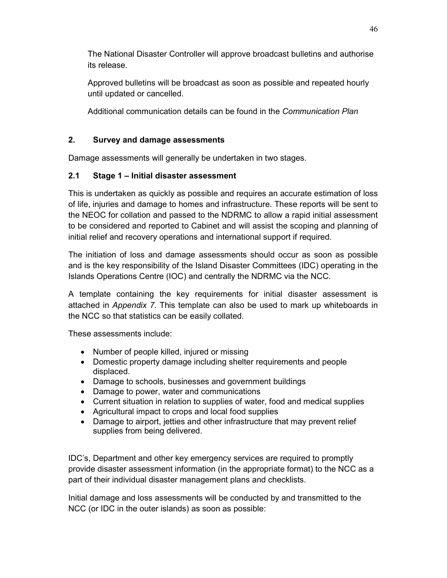The National Disaster Controller will approve broadcast bulletins and authorise its release.

Approved bulletins will be broadcast as soon as possible and repeated hourly until updated or cancelled.

Additional communication details can be found in the *Communication Plan*

## **2. Survey and damage assessments**

Damage assessments will generally be undertaken in two stages.

## **2.1 Stage 1 – Initial disaster assessment**

This is undertaken as quickly as possible and requires an accurate estimation of loss of life, injuries and damage to homes and infrastructure. These reports will be sent to the NEOC for collation and passed to the NDRMC to allow a rapid initial assessment to be considered and reported to Cabinet and will assist the scoping and planning of initial relief and recovery operations and international support if required.

The initiation of loss and damage assessments should occur as soon as possible and is the key responsibility of the Island Disaster Committees (IDC) operating in the Islands Operations Centre (IOC) and centrally the NDRMC via the NCC.

A template containing the key requirements for initial disaster assessment is attached in *Appendix 7*. This template can also be used to mark up whiteboards in the NCC so that statistics can be easily collated.

These assessments include:

- Number of people killed, injured or missing
- Domestic property damage including shelter requirements and people displaced.
- Damage to schools, businesses and government buildings
- Damage to power, water and communications
- Current situation in relation to supplies of water, food and medical supplies
- Agricultural impact to crops and local food supplies
- Damage to airport, jetties and other infrastructure that may prevent relief supplies from being delivered.

IDC's, Department and other key emergency services are required to promptly provide disaster assessment information (in the appropriate format) to the NCC as a part of their individual disaster management plans and checklists.

Initial damage and loss assessments will be conducted by and transmitted to the NCC (or IDC in the outer islands) as soon as possible: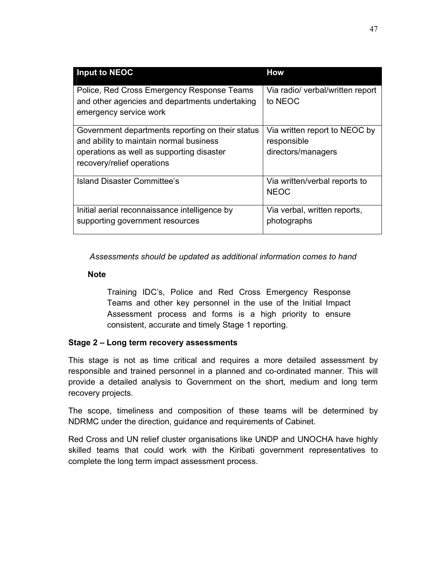| Input to NEOC                                                                                                                                                          | <b>How</b>                                                         |
|------------------------------------------------------------------------------------------------------------------------------------------------------------------------|--------------------------------------------------------------------|
| Police, Red Cross Emergency Response Teams<br>and other agencies and departments undertaking<br>emergency service work                                                 | Via radio/ verbal/written report<br>to NEOC                        |
| Government departments reporting on their status<br>and ability to maintain normal business<br>operations as well as supporting disaster<br>recovery/relief operations | Via written report to NEOC by<br>responsible<br>directors/managers |
| Island Disaster Committee's                                                                                                                                            | Via written/verbal reports to<br><b>NEOC</b>                       |
| Initial aerial reconnaissance intelligence by<br>supporting government resources                                                                                       | Via verbal, written reports,<br>photographs                        |

*Assessments should be updated as additional information comes to hand* 

#### **Note**

Training IDC's, Police and Red Cross Emergency Response Teams and other key personnel in the use of the Initial Impact Assessment process and forms is a high priority to ensure consistent, accurate and timely Stage 1 reporting.

## **Stage 2 – Long term recovery assessments**

This stage is not as time critical and requires a more detailed assessment by responsible and trained personnel in a planned and co-ordinated manner. This will provide a detailed analysis to Government on the short, medium and long term recovery projects.

The scope, timeliness and composition of these teams will be determined by NDRMC under the direction, guidance and requirements of Cabinet.

Red Cross and UN relief cluster organisations like UNDP and UNOCHA have highly skilled teams that could work with the Kiribati government representatives to complete the long term impact assessment process.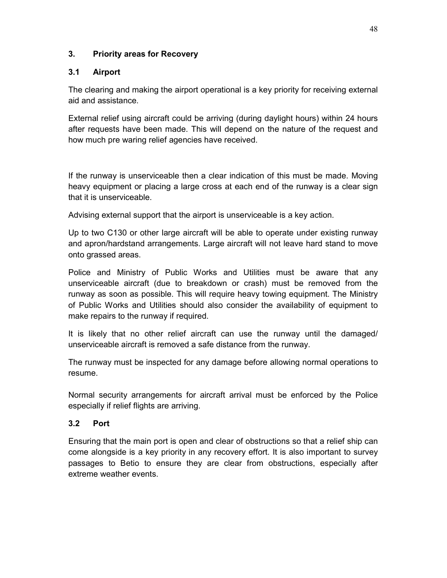## **3. Priority areas for Recovery**

## **3.1 Airport**

The clearing and making the airport operational is a key priority for receiving external aid and assistance.

External relief using aircraft could be arriving (during daylight hours) within 24 hours after requests have been made. This will depend on the nature of the request and how much pre waring relief agencies have received.

If the runway is unserviceable then a clear indication of this must be made. Moving heavy equipment or placing a large cross at each end of the runway is a clear sign that it is unserviceable.

Advising external support that the airport is unserviceable is a key action.

Up to two C130 or other large aircraft will be able to operate under existing runway and apron/hardstand arrangements. Large aircraft will not leave hard stand to move onto grassed areas.

Police and Ministry of Public Works and Utilities must be aware that any unserviceable aircraft (due to breakdown or crash) must be removed from the runway as soon as possible. This will require heavy towing equipment. The Ministry of Public Works and Utilities should also consider the availability of equipment to make repairs to the runway if required.

It is likely that no other relief aircraft can use the runway until the damaged/ unserviceable aircraft is removed a safe distance from the runway.

The runway must be inspected for any damage before allowing normal operations to resume.

Normal security arrangements for aircraft arrival must be enforced by the Police especially if relief flights are arriving.

## **3.2 Port**

Ensuring that the main port is open and clear of obstructions so that a relief ship can come alongside is a key priority in any recovery effort. It is also important to survey passages to Betio to ensure they are clear from obstructions, especially after extreme weather events.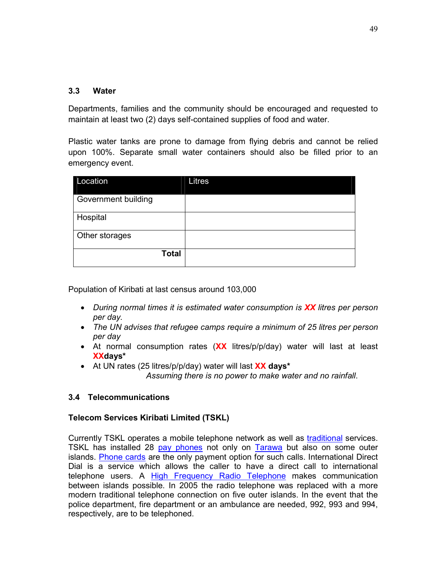## **3.3 Water**

Departments, families and the community should be encouraged and requested to maintain at least two (2) days self-contained supplies of food and water.

Plastic water tanks are prone to damage from flying debris and cannot be relied upon 100%. Separate small water containers should also be filled prior to an emergency event.

| Location            | Litres |
|---------------------|--------|
| Government building |        |
| Hospital            |        |
| Other storages      |        |
| <b>Total</b>        |        |

Population of Kiribati at last census around 103,000

- *During normal times it is estimated water consumption is XX litres per person per day.*
- *The UN advises that refugee camps require a minimum of 25 litres per person per day*
- At normal consumption rates (**XX** litres/p/p/day) water will last at least **XXdays\***
- At UN rates (25 litres/p/p/day) water will last **XX days\***

 *Assuming there is no power to make water and no rainfall*.

## **3.4 Telecommunications**

## **Telecom Services Kiribati Limited (TSKL)**

Currently TSKL operates a mobile telephone network as well as traditional services. TSKL has installed 28 pay phones not only on Tarawa but also on some outer islands. Phone cards are the only payment option for such calls. International Direct Dial is a service which allows the caller to have a direct call to international telephone users. A High Frequency Radio Telephone makes communication between islands possible. In 2005 the radio telephone was replaced with a more modern traditional telephone connection on five outer islands. In the event that the police department, fire department or an ambulance are needed, 992, 993 and 994, respectively, are to be telephoned.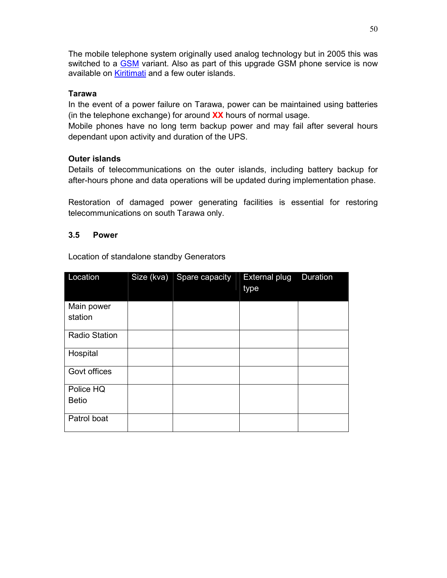The mobile telephone system originally used analog technology but in 2005 this was switched to a GSM variant. Also as part of this upgrade GSM phone service is now available on Kiritimati and a few outer islands.

## **Tarawa**

In the event of a power failure on Tarawa, power can be maintained using batteries (in the telephone exchange) for around **XX** hours of normal usage.

Mobile phones have no long term backup power and may fail after several hours dependant upon activity and duration of the UPS.

## **Outer islands**

Details of telecommunications on the outer islands, including battery backup for after-hours phone and data operations will be updated during implementation phase.

Restoration of damaged power generating facilities is essential for restoring telecommunications on south Tarawa only.

## **3.5 Power**

Location of standalone standby Generators

| Location              | Size (kva) Spare capacity | <b>External plug</b><br>type | <b>Duration</b> |
|-----------------------|---------------------------|------------------------------|-----------------|
| Main power<br>station |                           |                              |                 |
| <b>Radio Station</b>  |                           |                              |                 |
| Hospital              |                           |                              |                 |
| Govt offices          |                           |                              |                 |
| Police HQ             |                           |                              |                 |
| <b>Betio</b>          |                           |                              |                 |
| Patrol boat           |                           |                              |                 |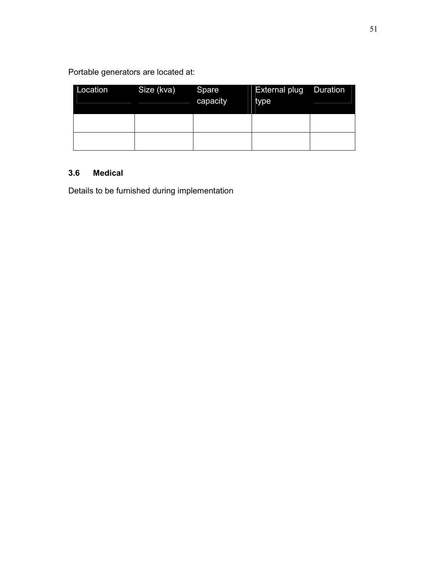Portable generators are located at:

| Location | Size (kva) | Spare<br>capacity | <b>External plug</b><br>type | <b>Duration</b> |
|----------|------------|-------------------|------------------------------|-----------------|
|          |            |                   |                              |                 |
|          |            |                   |                              |                 |

## **3.6 Medical**

Details to be furnished during implementation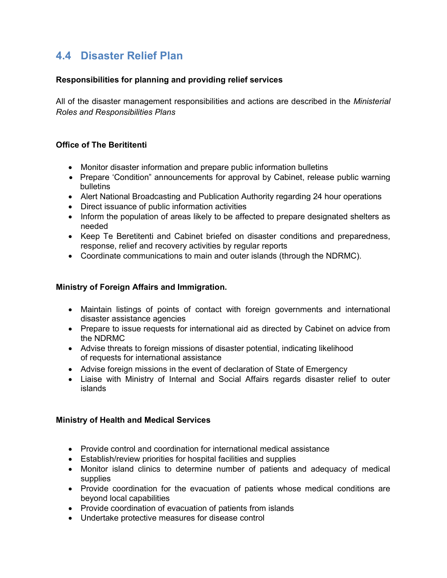# **4.4 Disaster Relief Plan**

## **Responsibilities for planning and providing relief services**

All of the disaster management responsibilities and actions are described in the *Ministerial Roles and Responsibilities Plans*

## **Office of The Berititenti**

- Monitor disaster information and prepare public information bulletins
- Prepare 'Condition" announcements for approval by Cabinet, release public warning bulletins
- Alert National Broadcasting and Publication Authority regarding 24 hour operations
- Direct issuance of public information activities
- Inform the population of areas likely to be affected to prepare designated shelters as needed
- Keep Te Beretitenti and Cabinet briefed on disaster conditions and preparedness, response, relief and recovery activities by regular reports
- Coordinate communications to main and outer islands (through the NDRMC).

## **Ministry of Foreign Affairs and Immigration.**

- Maintain listings of points of contact with foreign governments and international disaster assistance agencies
- Prepare to issue requests for international aid as directed by Cabinet on advice from the NDRMC
- Advise threats to foreign missions of disaster potential, indicating likelihood of requests for international assistance
- Advise foreign missions in the event of declaration of State of Emergency
- Liaise with Ministry of Internal and Social Affairs regards disaster relief to outer islands

## **Ministry of Health and Medical Services**

- Provide control and coordination for international medical assistance
- Establish/review priorities for hospital facilities and supplies
- Monitor island clinics to determine number of patients and adequacy of medical supplies
- Provide coordination for the evacuation of patients whose medical conditions are beyond local capabilities
- Provide coordination of evacuation of patients from islands
- Undertake protective measures for disease control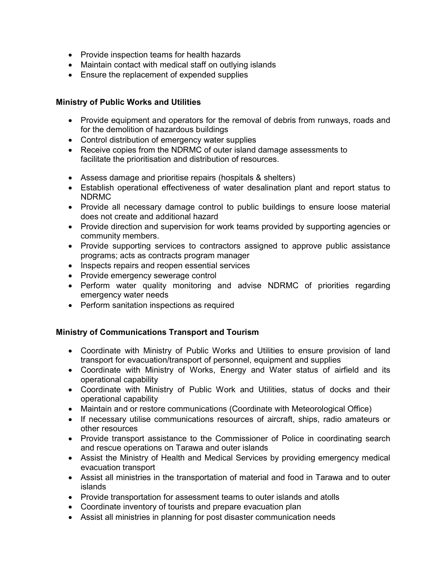- Provide inspection teams for health hazards
- Maintain contact with medical staff on outlying islands
- Ensure the replacement of expended supplies

## **Ministry of Public Works and Utilities**

- Provide equipment and operators for the removal of debris from runways, roads and for the demolition of hazardous buildings
- Control distribution of emergency water supplies
- Receive copies from the NDRMC of outer island damage assessments to facilitate the prioritisation and distribution of resources.
- Assess damage and prioritise repairs (hospitals & shelters)
- Establish operational effectiveness of water desalination plant and report status to NDRMC
- Provide all necessary damage control to public buildings to ensure loose material does not create and additional hazard
- Provide direction and supervision for work teams provided by supporting agencies or community members.
- Provide supporting services to contractors assigned to approve public assistance programs; acts as contracts program manager
- Inspects repairs and reopen essential services
- Provide emergency sewerage control
- Perform water quality monitoring and advise NDRMC of priorities regarding emergency water needs
- Perform sanitation inspections as required

## **Ministry of Communications Transport and Tourism**

- Coordinate with Ministry of Public Works and Utilities to ensure provision of land transport for evacuation/transport of personnel, equipment and supplies
- Coordinate with Ministry of Works, Energy and Water status of airfield and its operational capability
- Coordinate with Ministry of Public Work and Utilities, status of docks and their operational capability
- Maintain and or restore communications (Coordinate with Meteorological Office)
- If necessary utilise communications resources of aircraft, ships, radio amateurs or other resources
- Provide transport assistance to the Commissioner of Police in coordinating search and rescue operations on Tarawa and outer islands
- Assist the Ministry of Health and Medical Services by providing emergency medical evacuation transport
- Assist all ministries in the transportation of material and food in Tarawa and to outer islands
- Provide transportation for assessment teams to outer islands and atolls
- Coordinate inventory of tourists and prepare evacuation plan
- Assist all ministries in planning for post disaster communication needs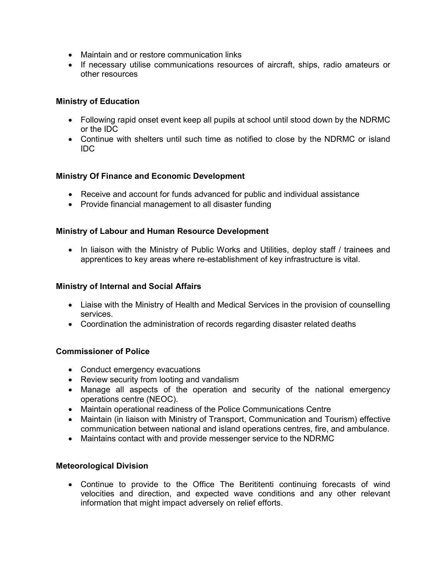- Maintain and or restore communication links
- If necessary utilise communications resources of aircraft, ships, radio amateurs or other resources

## **Ministry of Education**

- Following rapid onset event keep all pupils at school until stood down by the NDRMC or the IDC
- Continue with shelters until such time as notified to close by the NDRMC or island IDC

## **Ministry Of Finance and Economic Development**

- Receive and account for funds advanced for public and individual assistance
- Provide financial management to all disaster funding

## **Ministry of Labour and Human Resource Development**

• In liaison with the Ministry of Public Works and Utilities, deploy staff / trainees and apprentices to key areas where re-establishment of key infrastructure is vital.

## **Ministry of Internal and Social Affairs**

- Liaise with the Ministry of Health and Medical Services in the provision of counselling services.
- Coordination the administration of records regarding disaster related deaths

## **Commissioner of Police**

- Conduct emergency evacuations
- Review security from looting and vandalism
- Manage all aspects of the operation and security of the national emergency operations centre (NEOC).
- Maintain operational readiness of the Police Communications Centre
- Maintain (in liaison with Ministry of Transport, Communication and Tourism) effective communication between national and island operations centres, fire, and ambulance.
- Maintains contact with and provide messenger service to the NDRMC

## **Meteorological Division**

• Continue to provide to the Office The Berititenti continuing forecasts of wind velocities and direction, and expected wave conditions and any other relevant information that might impact adversely on relief efforts.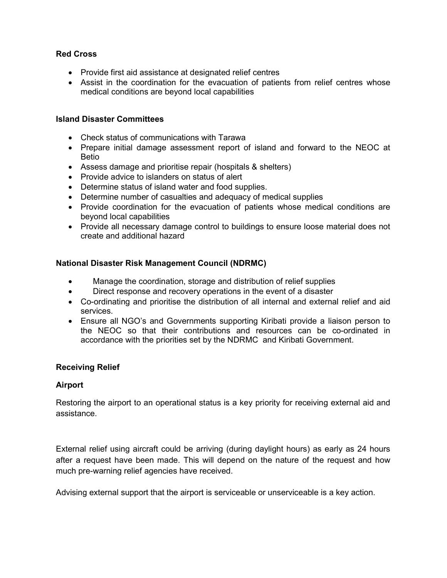## **Red Cross**

- Provide first aid assistance at designated relief centres
- Assist in the coordination for the evacuation of patients from relief centres whose medical conditions are beyond local capabilities

## **Island Disaster Committees**

- Check status of communications with Tarawa
- Prepare initial damage assessment report of island and forward to the NEOC at Betio
- Assess damage and prioritise repair (hospitals & shelters)
- Provide advice to islanders on status of alert
- Determine status of island water and food supplies.
- Determine number of casualties and adequacy of medical supplies
- Provide coordination for the evacuation of patients whose medical conditions are beyond local capabilities
- Provide all necessary damage control to buildings to ensure loose material does not create and additional hazard

## **National Disaster Risk Management Council (NDRMC)**

- Manage the coordination, storage and distribution of relief supplies
- Direct response and recovery operations in the event of a disaster
- Co-ordinating and prioritise the distribution of all internal and external relief and aid services.
- Ensure all NGO's and Governments supporting Kiribati provide a liaison person to the NEOC so that their contributions and resources can be co-ordinated in accordance with the priorities set by the NDRMC and Kiribati Government.

## **Receiving Relief**

## **Airport**

Restoring the airport to an operational status is a key priority for receiving external aid and assistance.

External relief using aircraft could be arriving (during daylight hours) as early as 24 hours after a request have been made. This will depend on the nature of the request and how much pre-warning relief agencies have received.

Advising external support that the airport is serviceable or unserviceable is a key action.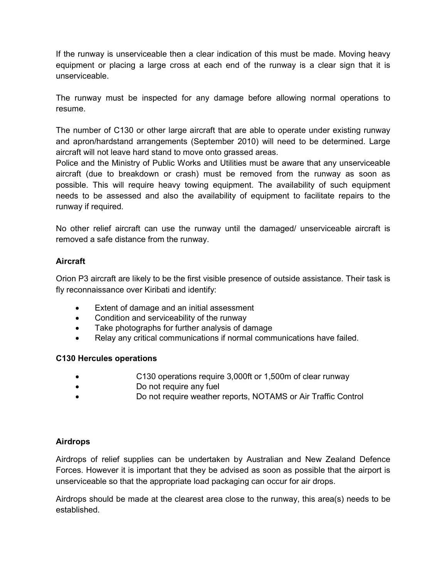If the runway is unserviceable then a clear indication of this must be made. Moving heavy equipment or placing a large cross at each end of the runway is a clear sign that it is unserviceable.

The runway must be inspected for any damage before allowing normal operations to resume.

The number of C130 or other large aircraft that are able to operate under existing runway and apron/hardstand arrangements (September 2010) will need to be determined. Large aircraft will not leave hard stand to move onto grassed areas.

Police and the Ministry of Public Works and Utilities must be aware that any unserviceable aircraft (due to breakdown or crash) must be removed from the runway as soon as possible. This will require heavy towing equipment. The availability of such equipment needs to be assessed and also the availability of equipment to facilitate repairs to the runway if required.

No other relief aircraft can use the runway until the damaged/ unserviceable aircraft is removed a safe distance from the runway.

## **Aircraft**

Orion P3 aircraft are likely to be the first visible presence of outside assistance. Their task is fly reconnaissance over Kiribati and identify:

- Extent of damage and an initial assessment
- Condition and serviceability of the runway
- Take photographs for further analysis of damage
- Relay any critical communications if normal communications have failed.

## **C130 Hercules operations**

- C130 operations require 3,000ft or 1,500m of clear runway
- **Do not require any fuel**
- Do not require weather reports, NOTAMS or Air Traffic Control

## **Airdrops**

Airdrops of relief supplies can be undertaken by Australian and New Zealand Defence Forces. However it is important that they be advised as soon as possible that the airport is unserviceable so that the appropriate load packaging can occur for air drops.

Airdrops should be made at the clearest area close to the runway, this area(s) needs to be established.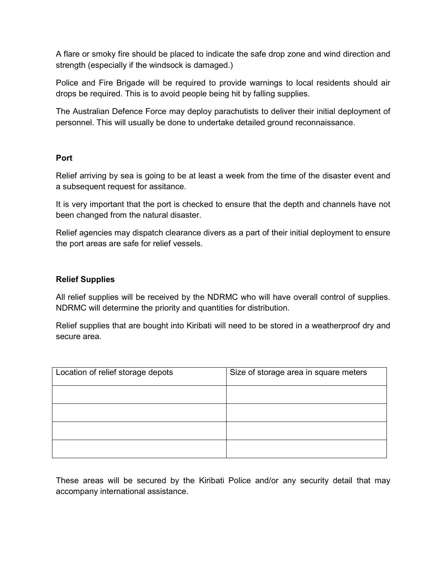A flare or smoky fire should be placed to indicate the safe drop zone and wind direction and strength (especially if the windsock is damaged.)

Police and Fire Brigade will be required to provide warnings to local residents should air drops be required. This is to avoid people being hit by falling supplies.

The Australian Defence Force may deploy parachutists to deliver their initial deployment of personnel. This will usually be done to undertake detailed ground reconnaissance.

## **Port**

Relief arriving by sea is going to be at least a week from the time of the disaster event and a subsequent request for assitance.

It is very important that the port is checked to ensure that the depth and channels have not been changed from the natural disaster.

Relief agencies may dispatch clearance divers as a part of their initial deployment to ensure the port areas are safe for relief vessels.

## **Relief Supplies**

All relief supplies will be received by the NDRMC who will have overall control of supplies. NDRMC will determine the priority and quantities for distribution.

Relief supplies that are bought into Kiribati will need to be stored in a weatherproof dry and secure area.

| Location of relief storage depots | Size of storage area in square meters |
|-----------------------------------|---------------------------------------|
|                                   |                                       |
|                                   |                                       |
|                                   |                                       |
|                                   |                                       |

These areas will be secured by the Kiribati Police and/or any security detail that may accompany international assistance.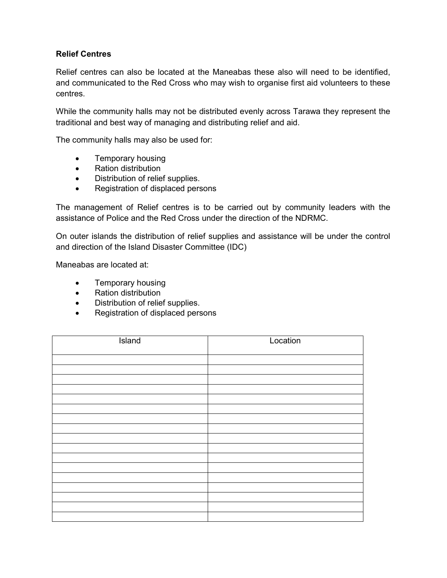## **Relief Centres**

Relief centres can also be located at the Maneabas these also will need to be identified, and communicated to the Red Cross who may wish to organise first aid volunteers to these centres.

While the community halls may not be distributed evenly across Tarawa they represent the traditional and best way of managing and distributing relief and aid.

The community halls may also be used for:

- Temporary housing
- Ration distribution
- Distribution of relief supplies.
- Registration of displaced persons

The management of Relief centres is to be carried out by community leaders with the assistance of Police and the Red Cross under the direction of the NDRMC.

On outer islands the distribution of relief supplies and assistance will be under the control and direction of the Island Disaster Committee (IDC)

Maneabas are located at:

- Temporary housing
- Ration distribution
- Distribution of relief supplies.
- Registration of displaced persons

| Island | Location |
|--------|----------|
|        |          |
|        |          |
|        |          |
|        |          |
|        |          |
|        |          |
|        |          |
|        |          |
|        |          |
|        |          |
|        |          |
|        |          |
|        |          |
|        |          |
|        |          |
|        |          |
|        |          |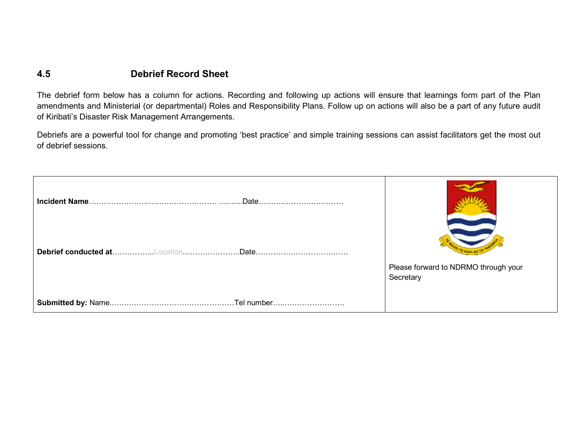## **4.5 Debrief Record Sheet**

The debrief form below has a column for actions. Recording and following up actions will ensure that learnings form part of the Plan amendments and Ministerial (or departmental) Roles and Responsibility Plans. Follow up on actions will also be a part of any future audit of Kiribati's Disaster Risk Management Arrangements.

Debriefs are a powerful tool for change and promoting 'best practice' and simple training sessions can assist facilitators get the most out of debrief sessions.

| .Date |                                      |
|-------|--------------------------------------|
|       | Please forward to NDRMO through your |
|       | Secretary                            |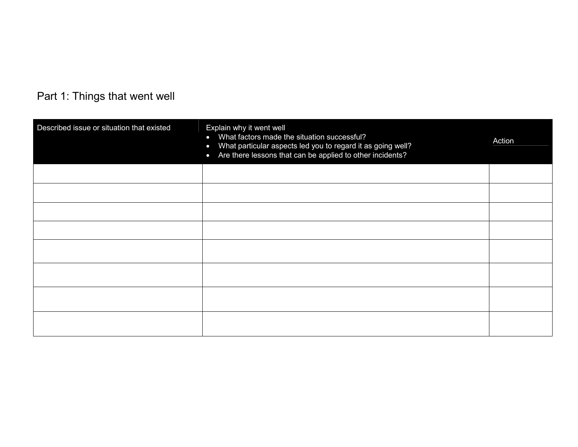# Part 1: Things that went well

| Described issue or situation that existed | Explain why it went well<br>What factors made the situation successful?<br>$\bullet$<br>What particular aspects led you to regard it as going well?<br>$\bullet$<br>Are there lessons that can be applied to other incidents?<br>$\bullet$ | Action |  |
|-------------------------------------------|--------------------------------------------------------------------------------------------------------------------------------------------------------------------------------------------------------------------------------------------|--------|--|
|                                           |                                                                                                                                                                                                                                            |        |  |
|                                           |                                                                                                                                                                                                                                            |        |  |
|                                           |                                                                                                                                                                                                                                            |        |  |
|                                           |                                                                                                                                                                                                                                            |        |  |
|                                           |                                                                                                                                                                                                                                            |        |  |
|                                           |                                                                                                                                                                                                                                            |        |  |
|                                           |                                                                                                                                                                                                                                            |        |  |
|                                           |                                                                                                                                                                                                                                            |        |  |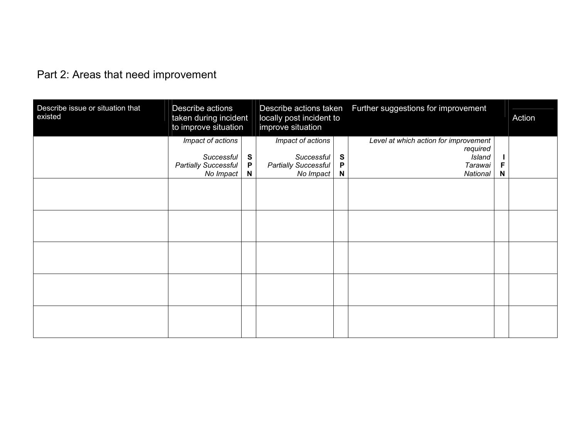# Part 2: Areas that need improvement

| Describe issue or situation that<br>existed | Describe actions<br>taken during incident<br>to improve situation                  |                                             | locally post incident to<br>improve situation                        |             | Describe actions taken  Further suggestions for improvement                        |        | Action |
|---------------------------------------------|------------------------------------------------------------------------------------|---------------------------------------------|----------------------------------------------------------------------|-------------|------------------------------------------------------------------------------------|--------|--------|
|                                             | Impact of actions<br><b>Successful</b><br><b>Partially Successful</b><br>No Impact | $\mathbf{s}$<br>$\mathsf P$<br>$\mathsf{N}$ | Impact of actions<br>Successful<br>Partially Successful<br>No Impact | S<br>P<br>N | Level at which action for improvement<br>required<br>Island<br>Tarawai<br>National | F<br>N |        |
|                                             |                                                                                    |                                             |                                                                      |             |                                                                                    |        |        |
|                                             |                                                                                    |                                             |                                                                      |             |                                                                                    |        |        |
|                                             |                                                                                    |                                             |                                                                      |             |                                                                                    |        |        |
|                                             |                                                                                    |                                             |                                                                      |             |                                                                                    |        |        |
|                                             |                                                                                    |                                             |                                                                      |             |                                                                                    |        |        |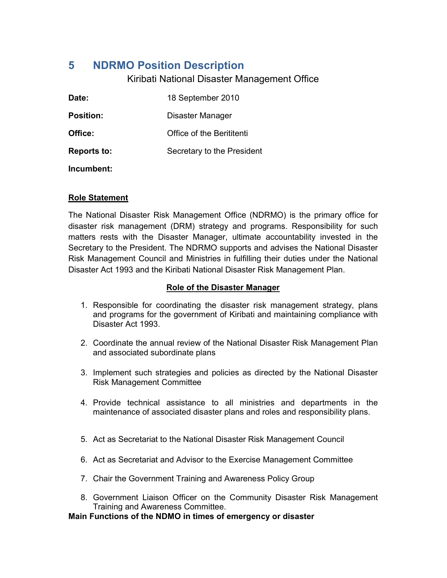# **5 NDRMO Position Description**

## Kiribati National Disaster Management Office

| Date:              | 18 September 2010          |
|--------------------|----------------------------|
| <b>Position:</b>   | Disaster Manager           |
| Office:            | Office of the Berititenti  |
| <b>Reports to:</b> | Secretary to the President |
| Incumbent:         |                            |

#### **Role Statement**

The National Disaster Risk Management Office (NDRMO) is the primary office for disaster risk management (DRM) strategy and programs. Responsibility for such matters rests with the Disaster Manager, ultimate accountability invested in the Secretary to the President. The NDRMO supports and advises the National Disaster Risk Management Council and Ministries in fulfilling their duties under the National Disaster Act 1993 and the Kiribati National Disaster Risk Management Plan.

## **Role of the Disaster Manager**

- 1. Responsible for coordinating the disaster risk management strategy, plans and programs for the government of Kiribati and maintaining compliance with Disaster Act 1993.
- 2. Coordinate the annual review of the National Disaster Risk Management Plan and associated subordinate plans
- 3. Implement such strategies and policies as directed by the National Disaster Risk Management Committee
- 4. Provide technical assistance to all ministries and departments in the maintenance of associated disaster plans and roles and responsibility plans.
- 5. Act as Secretariat to the National Disaster Risk Management Council
- 6. Act as Secretariat and Advisor to the Exercise Management Committee
- 7. Chair the Government Training and Awareness Policy Group
- 8. Government Liaison Officer on the Community Disaster Risk Management Training and Awareness Committee.

**Main Functions of the NDMO in times of emergency or disaster**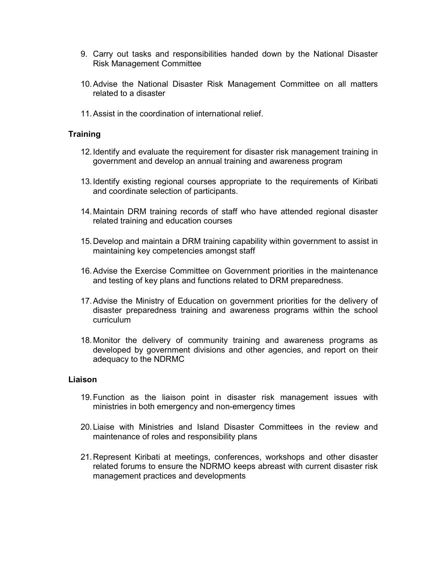- 9. Carry out tasks and responsibilities handed down by the National Disaster Risk Management Committee
- 10. Advise the National Disaster Risk Management Committee on all matters related to a disaster
- 11. Assist in the coordination of international relief.

#### **Training**

- 12. Identify and evaluate the requirement for disaster risk management training in government and develop an annual training and awareness program
- 13. Identify existing regional courses appropriate to the requirements of Kiribati and coordinate selection of participants.
- 14. Maintain DRM training records of staff who have attended regional disaster related training and education courses
- 15. Develop and maintain a DRM training capability within government to assist in maintaining key competencies amongst staff
- 16. Advise the Exercise Committee on Government priorities in the maintenance and testing of key plans and functions related to DRM preparedness.
- 17. Advise the Ministry of Education on government priorities for the delivery of disaster preparedness training and awareness programs within the school curriculum
- 18. Monitor the delivery of community training and awareness programs as developed by government divisions and other agencies, and report on their adequacy to the NDRMC

#### **Liaison**

- 19. Function as the liaison point in disaster risk management issues with ministries in both emergency and non-emergency times
- 20. Liaise with Ministries and Island Disaster Committees in the review and maintenance of roles and responsibility plans
- 21. Represent Kiribati at meetings, conferences, workshops and other disaster related forums to ensure the NDRMO keeps abreast with current disaster risk management practices and developments